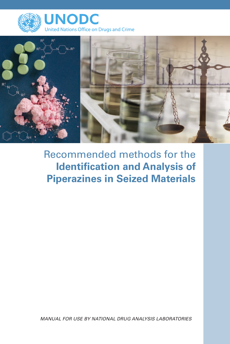



# Recommended methods for the **Identification and Analysis of Piperazines in Seized Materials**

*Manual for use by national drug analysis laboratories*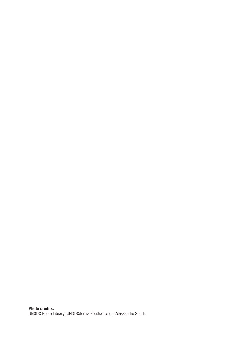Photo credits: UNODC Photo Library; UNODC/Ioulia Kondratovitch; Alessandro Scotti.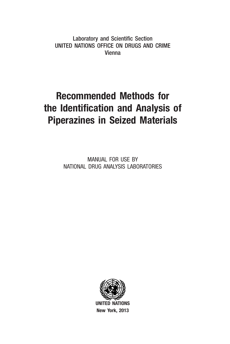Laboratory and Scientific Section United Nations Office on Drugs and Crime Vienna

# Recommended Methods for the Identification and Analysis of Piperazines in Seized Materials

MANUAL FOR USE BY NATIONAL DRUG ANALYSIS LABORATORIES



UNITED NATIONS New York, 2013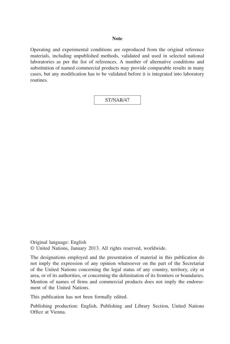#### **Note**

Operating and experimental conditions are reproduced from the original reference materials, including unpublished methods, validated and used in selected national laboratories as per the list of references. A number of alternative conditions and substitution of named commercial products may provide comparable results in many cases, but any modification has to be validated before it is integrated into laboratory routines.

ST/NAR/47

Original language: English © United Nations, January 2013. All rights reserved, worldwide.

The designations employed and the presentation of material in this publication do not imply the expression of any opinion whatsoever on the part of the Secretariat of the United Nations concerning the legal status of any country, territory, city or area, or of its authorities, or concerning the delimitation of its frontiers or boundaries. Mention of names of firms and commercial products does not imply the endorsement of the United Nations.

This publication has not been formally edited.

Publishing production: English, Publishing and Library Section, United Nations Office at Vienna.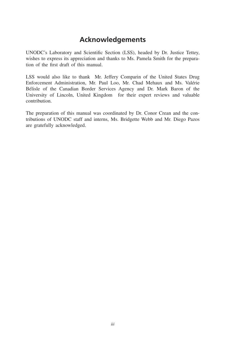# **Acknowledgements**

UNODC's Laboratory and Scientific Section (LSS), headed by Dr. Justice Tettey, wishes to express its appreciation and thanks to Ms. Pamela Smith for the preparation of the first draft of this manual.

LSS would also like to thank Mr. Jeffery Comparin of the United States Drug Enforcement Administration, Mr. Paul Loo, Mr. Chad Mehaux and Ms. Valérie Bélisle of the Canadian Border Services Agency and Dr. Mark Baron of the University of Lincoln, United Kingdom for their expert reviews and valuable contribution.

The preparation of this manual was coordinated by Dr. Conor Crean and the contributions of UNODC staff and interns, Ms. Bridgette Webb and Mr. Diego Pazos are gratefully acknowledged.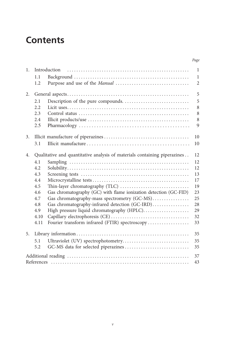# **Contents**

| 1. |      | Introduction                                                              | $\mathbf{1}$   |
|----|------|---------------------------------------------------------------------------|----------------|
|    | 1.1  |                                                                           | $\mathbf{1}$   |
|    | 1.2  |                                                                           | $\overline{2}$ |
|    |      |                                                                           |                |
| 2. |      |                                                                           | 5              |
|    | 2.1  |                                                                           | 5              |
|    | 2.2. |                                                                           | 8              |
|    | 2.3  |                                                                           | 8              |
|    | 2.4  |                                                                           | 8              |
|    | 2.5  |                                                                           | 9              |
| 3. |      |                                                                           | 10             |
|    | 3.1  |                                                                           | 10             |
|    |      |                                                                           |                |
| 4. |      | Qualitative and quantitative analysis of materials containing piperazines | 12             |
|    | 4.1  |                                                                           | 12             |
|    | 4.2  |                                                                           | 12             |
|    | 4.3  |                                                                           | 13             |
|    | 4.4  |                                                                           | 17             |
|    | 4.5  |                                                                           | 19             |
|    | 4.6  | Gas chromatography (GC) with flame ionization detection (GC-FID)          | 23             |
|    | 4.7  | Gas chromatography-mass spectrometry (GC-MS)                              | 25             |
|    | 4.8  | Gas chromatography-infrared detection (GC-IRD)                            | 28             |
|    | 4.9  | High pressure liquid chromatography (HPLC)                                | 29             |
|    | 4.10 |                                                                           | 32             |
|    | 4.11 | Fourier transform infrared (FTIR) spectroscopy                            | 33             |
| 5. |      |                                                                           | 35             |
|    | 5.1  | Ultraviolet (UV) spectrophotometry                                        | 35             |
|    | 5.2  |                                                                           | 35             |
|    |      |                                                                           |                |
|    |      |                                                                           | 37             |
|    |      |                                                                           | 43             |

*Page*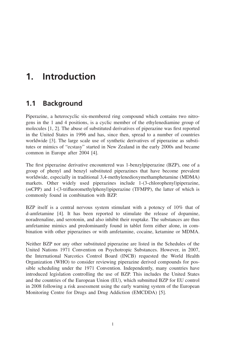# <span id="page-8-0"></span>**1. Introduction**

# **1.1 Background**

Piperazine, a heterocyclic six-membered ring compound which contains two nitrogens in the 1 and 4 positions, is a cyclic member of the ethylenediamine group of molecules [1, 2]. The abuse of substituted derivatives of piperazine was first reported in the United States in 1996 and has, since then, spread to a number of countries worldwide [3]. The large scale use of synthetic derivatives of piperazine as substitutes or mimics of "ecstasy" started in New Zealand in the early 2000s and became common in Europe after 2004 [4].

The first piperazine derivative encountered was 1-benzylpiperazine (BZP), one of a group of phenyl and benzyl substituted piperazines that have become prevalent worldwide, especially in traditional 3,4-methylenedioxymethamphetamine (MDMA) markets. Other widely used piperazines include 1-(3-chlorophenyl)piperazine, (*m*CPP) and 1-(3-trifluoromethylphenyl)piperazine (TFMPP), the latter of which is commonly found in combination with BZP.

BZP itself is a central nervous system stimulant with a potency of 10% that of d-amfetamine [4]. It has been reported to stimulate the release of dopamine, noradrenaline, and serotonin, and also inhibit their reuptake. The substances are thus amfetamine mimics and predominantly found in tablet form either alone, in combination with other piperazines or with amfetamine, cocaine, ketamine or MDMA.

Neither BZP nor any other substituted piperazine are listed in the Schedules of the United Nations 1971 Convention on Psychotropic Substances. However, in 2007, the International Narcotics Control Board (INCB) requested the World Health Organization (WHO) to consider reviewing piperazine derived compounds for possible scheduling under the 1971 Convention. Independently, many countries have introduced legislation controlling the use of BZP. This includes the United States and the countries of the European Union (EU), which submitted BZP for EU control in 2008 following a risk assessment using the early warning system of the European Monitoring Centre for Drugs and Drug Addiction (EMCDDA) [5].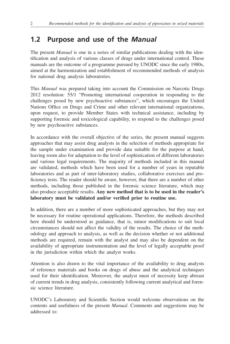# <span id="page-9-0"></span>**1.2 Purpose and use of the** *Manual*

The present *Manual* is one in a series of similar publications dealing with the identification and analysis of various classes of drugs under international control. These manuals are the outcome of a programme pursued by UNODC since the early 1980s, aimed at the harmonization and establishment of recommended methods of analysis for national drug analysis laboratories.

This *Manual* was prepared taking into account the Commission on Narcotic Drugs 2012 resolution: 55/1 "Promoting international cooperation in responding to the challenges posed by new psychoactive substances", which encourages the United Nations Office on Drugs and Crime and other relevant international organizations, upon request, to provide Member States with technical assistance, including by supporting forensic and toxicological capability, to respond to the challenges posed by new psychoactive substances.

In accordance with the overall objective of the series, the present manual suggests approaches that may assist drug analysts in the selection of methods appropriate for the sample under examination and provide data suitable for the purpose at hand, leaving room also for adaptation to the level of sophistication of different laboratories and various legal requirements. The majority of methods included in this manual are validated, methods which have been used for a number of years in reputable laboratories and as part of inter-laboratory studies, collaborative exercises and proficiency tests. The reader should be aware, however, that there are a number of other methods, including those published in the forensic science literature, which may also produce acceptable results. **Any new method that is to be used in the reader's laboratory must be validated and/or verified prior to routine use.**

In addition, there are a number of more sophisticated approaches, but they may not be necessary for routine operational applications. Therefore, the methods described here should be understood as guidance, that is, minor modifications to suit local circumstances should not affect the validity of the results. The choice of the methodology and approach to analysis, as well as the decision whether or not additional methods are required, remain with the analyst and may also be dependent on the availability of appropriate instrumentation and the level of legally acceptable proof in the jurisdiction within which the analyst works.

Attention is also drawn to the vital importance of the availability to drug analysts of reference materials and books on drugs of abuse and the analytical techniques used for their identification. Moreover, the analyst must of necessity keep abreast of current trends in drug analysis, consistently following current analytical and forensic science literature.

UNODC's Laboratory and Scientific Section would welcome observations on the contents and usefulness of the present *Manual*. Comments and suggestions may be addressed to: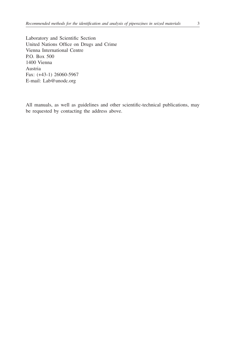Laboratory and Scientific Section United Nations Office on Drugs and Crime Vienna International Centre P.O. Box 500 1400 Vienna Austria Fax: (+43-1) 26060-5967 E-mail: [Lab@unodc.org](mailto:Lab@unodc.org)

All manuals, as well as guidelines and other scientific-technical publications, may be requested by contacting the address above.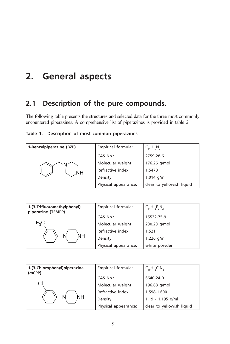# <span id="page-12-0"></span>**2. General aspects**

# **2.1 Description of the pure compounds.**

The following table presents the structures and selected data for the three most commonly encountered piperazines. A comprehensive list of piperazines is provided in table 2.

|  |  | Table 1. Description of most common piperazines |  |  |  |  |
|--|--|-------------------------------------------------|--|--|--|--|
|--|--|-------------------------------------------------|--|--|--|--|

| 1-Benzylpiperazine (BZP) | Empirical formula:   | $C_{11}H_{16}N_{2}$       |
|--------------------------|----------------------|---------------------------|
|                          | CAS No.:             | 2759-28-6                 |
|                          | Molecular weight:    | 176.26 g/mol              |
| .NH                      | Refractive index:    | 1.5470                    |
|                          | Density:             | $1.014$ g/ml              |
|                          | Physical appearance: | clear to yellowish liquid |

| 1-(3-Trifluoromethylphenyl)<br>piperazine (TFMPP) | Empirical formula:   | $C_{11}H_{13}F_{3}N_{2}$ |
|---------------------------------------------------|----------------------|--------------------------|
|                                                   | CAS No.:             | 15532-75-9               |
| $F_3C$                                            | Molecular weight:    | 230.23 g/mol             |
|                                                   | Refractive index:    | 1.521                    |
| NΗ                                                | Density:             | $1.226$ g/ml             |
|                                                   | Physical appearance: | white powder             |

| 1-(3-Chlorophenyl)piperazine<br>(mCPP) | Empirical formula:   | $C_{10}H_{13}CIN_{2}$     |
|----------------------------------------|----------------------|---------------------------|
|                                        | CAS No.:             | 6640-24-0                 |
| Cl                                     | Molecular weight:    | 196.68 g/mol              |
|                                        | Refractive index:    | 1.598-1.600               |
| NΗ                                     | Density:             | $1.19 - 1.195$ g/ml       |
|                                        | Physical appearance: | clear to yellowish liquid |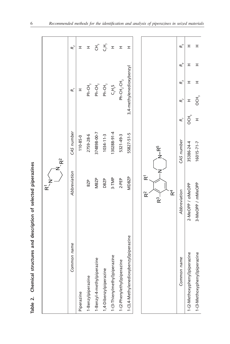| Table 2. Chemical structures and description of selected piperazines |                                                    |                  |                  |                            |                                  |             |  |
|----------------------------------------------------------------------|----------------------------------------------------|------------------|------------------|----------------------------|----------------------------------|-------------|--|
|                                                                      | $\bf \bar{\alpha}$                                 | $\vec{R}^2$      |                  |                            |                                  |             |  |
| Common name                                                          | Abbreviation                                       | CAS number       |                  | $\mathcal{R}_{i}$          |                                  | $R_{2}^{2}$ |  |
| Piperazine                                                           |                                                    | $110 - 85 - 0$   |                  | <b>I</b>                   |                                  | Ξ,          |  |
| 1-Benzylpiperazine                                                   | BZP                                                | 2759-28-6        |                  | $Ph-CH_2$                  |                                  | <b>I</b>    |  |
| 1-Benzyl-4-methylpiperazine                                          | MBZP                                               | 374898-00-7      |                  | $Ph-CH2$                   |                                  |             |  |
| 1,4-Dibenzylpiperazine                                               | <b>DBZP</b>                                        | $1034 - 11 - 3$  |                  | $Ph-CH$ <sub>2</sub>       |                                  | こうしょう       |  |
| 1-(3-Thienylmethyl)piperazine                                        | 3-TMP                                              | 130288-91-4      |                  | $C_5H_5S$                  |                                  | $\pm$       |  |
| 1-(2-Phenylethyl)piperazine                                          | $2-PEP$                                            | 5321-49-3        |                  | $Ph-CH_2$ -CH <sub>2</sub> |                                  | $\pm$       |  |
| 1-(3,4-Methylenedioxybenzyl)piperazine                               | MDBZP                                              | 55827-51-5       |                  | 3,4-methylenedioxybenzyl   |                                  | H           |  |
|                                                                      |                                                    |                  |                  |                            |                                  |             |  |
|                                                                      | $\bar{\mathbf{r}}$<br>$\widetilde{\mathbf{R}}^{2}$ |                  |                  |                            |                                  |             |  |
|                                                                      | z<br>$R^3$                                         | $N-R^5$          |                  |                            |                                  |             |  |
|                                                                      | $\mathbf{K}$                                       |                  |                  |                            |                                  |             |  |
| Common name                                                          | Abbreviation                                       | CAS number       | R,               | $R_{2}^{2}$                | $R_{\scriptscriptstyle 4}$<br>R, | $R_{5}$     |  |
| 1-(2-Methoxyphenyl)piperazine                                        | 2-MeOPP / oMeOPP                                   | 35386-24-4       | OCH <sub>3</sub> | I                          | I<br>H                           | <b>I</b>    |  |
| 1-(3-Methoxyphenyl)piperazine                                        | 3-MeOPP / mMeOPP                                   | $16015 - 71 - 7$ | I                | Э,                         | I<br>I                           | H           |  |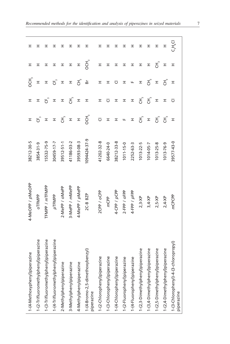| 1-(4-Methoxyphenyl)piperazine                       | 4-MeOPP / pMeOPP | 38212-30-5      | I                                | H              | СН,            | H                                 | I           |  |
|-----------------------------------------------------|------------------|-----------------|----------------------------------|----------------|----------------|-----------------------------------|-------------|--|
| 1-(2-Trifluoromethylphenyl)piperazine               | oTFMPP           | 3854-31-9       | ජ <sup>ී</sup>                   | H              | I              | I                                 | ェ           |  |
| 1-(3-Trifluoromethylphenyl)piperazine               | TFMPP / mTFMPP   | 15532-75-9      | $\pm$                            | $\mathfrak{S}$ | $\pm$          | I                                 | ェ           |  |
| 1-(4-Trifluoromethylphenyl)piperazine               | pTFMPP           | 30459-17-7      | $\pm$                            | $\pm$          | $\mathfrak{S}$ | I                                 | ェ           |  |
| 2-Methylphenylpiperazine                            | 2-MePP / oMePP   | 39512-51-1      | $\overline{f}^{\mathbb{C}}$      | $\pm$          | $\pm$          | I                                 | ェ           |  |
| 3-Methylphenylpiperazine                            | 3-MePP / mMePP   | 41186-03-2      | $\pm$                            | も<br>こ         | $\pm$          | $\pm$                             | ェ           |  |
| 4-Methylphenylpiperazine                            | 4-MePP / pMePP   | 39593-08-3      | $\pm$                            | $\pm$          | Ŧ.             | I                                 | ェ           |  |
| 1-(4-Bromo-2,5-dimethoxybenzyl)<br>piperazine       | 2C-B BZP         | 1094424-37-9    | OCH <sub>3</sub>                 | <b>I</b>       | à              | ŌЧ,                               | ᆂ           |  |
| eq<br>1-(2-Chlorophenyl)piperazi                    | 2CPP / oCPP      | 41202-32-8      | $\overline{\cup}$                | H              | H              | I                                 | ᆂ           |  |
| 1-(3-Chlorophenyl)piperazine                        | mCPP             | 6640-24-0       | $\pm$                            | Ū              | H              | I                                 | ェ           |  |
| 1-(4-Chlorophenyl)piperazine                        | 4-CPP / pCPP     | 38212-33-8      | <b>I</b>                         | H              | ⊽              | H                                 | ェ           |  |
| 1-(2-Fluorophenyl)piperazine                        | 2-FPP / oFPP     | $1011 - 15 - 0$ | $\mathbf{u}_i$                   | <b>I</b>       | I              | H                                 | I           |  |
| 1-(4-Fluorophenyl)piperazine                        | 4-FPP / pFPP     | 2252-63-3       | $\pm$                            | <b>I</b>       | Щ              | H                                 | I           |  |
| 1-(2,3-Dimethylphenyl)piperazine                    | $2,3-XP$         | 1013-22-5       | 王<br>                            | ヸ゚             | H              | <b>I</b>                          | I           |  |
| 1-(3,4-Dimethylphenyl)piperazine                    | $3,4-XP$         | $1014 - 05 - 7$ | $\pm$                            | $E^{\degree}$  | Ŧ.             | I                                 | H           |  |
| 1-(2,5-Dimethylphenyl)piperazine                    | $2,5-XP$         | $1013 - 25 - 8$ | $\operatorname{\mathsf{E}}_{\!}$ | $\pm$          | $\mathbf{I}$   | $\operatorname{\mathsf{E}}^\circ$ | I           |  |
| 1-(2,4-Dimethylphenyl)piperazine                    | $2,4-XP$         | 1013-76-9       | Ŧ.                               | H              | こ<br>こ         | H                                 | H           |  |
| 1-(3-Chlorophenyl)-4-(3-chloropropyl)<br>piperazine | mCPCPP           | 39577-43-0      | $\pm$                            | Ū              | <b>II</b>      | H                                 | $C_3H_6$ Cl |  |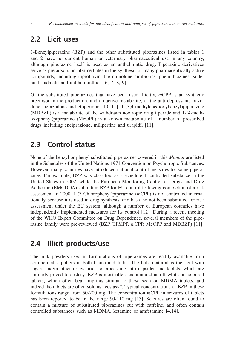## <span id="page-15-0"></span>**2.2 Licit uses**

1-Benzylpiperazine (BZP) and the other substituted piperazines listed in tables 1 and 2 have no current human or veterinary pharmaceutical use in any country, although piperazine itself is used as an anthelmintic drug. Piperazine derivatives serve as precursors or intermediates in the synthesis of many pharmaceutically active compounds, including ciproflaxin, the quinolone antibiotics, phenothiazines, sildenafil, tadalafil and antihelminthics [6, 7, 8, 9].

Of the substituted piperazines that have been used illicitly, *m*CPP is an synthetic precursor in the production, and an active metabolite, of the anti-depressants trazodone, nefazodone and etoperidon [10, 11]. 1-(3,4-methylenedioxybenzyl)piperazine (MDBZP) is a metabolite of the withdrawn nootropic drug fipexide and 1-(4-methoxyphenyl)piperazine (MeOPP) is a known metabolite of a number of prescribed drugs including enciprazione, milipertine and urapidil [11].

## **2.3 Control status**

None of the benzyl or phenyl substituted piperazines covered in this *Manual* are listed in the Schedules of the United Nations 1971 Convention on Psychotropic Substances. However, many countries have introduced national control measures for some piperazines. For example, BZP was classified as a schedule 1 controlled substance in the United States in 2002, while the European Monitoring Centre for Drugs and Drug Addiction (EMCDDA) submitted BZP for EU control following completion of a risk assessment in 2008. 1-(3-Chlorophenyl)piperazine (*m*CPP) is not controlled internationally because it is used in drug synthesis, and has also not been submitted for risk assessment under the EU system, although a number of European countries have independently implemented measures for its control [12]. During a recent meeting of the WHO Expert Committee on Drug Dependence, several members of the piperazine family were pre-reviewed (BZP, TFMPP, *m*CPP, MeOPP and MDBZP) [11].

## **2.4 Illicit products/use**

The bulk powders used in formulations of piperazines are readily available from commercial suppliers in both China and India. The bulk material is then cut with sugars and/or other drugs prior to processing into capsules and tablets, which are similarly priced to ecstasy. BZP is most often encountered as off-white or coloured tablets, which often bear imprints similar to those seen on MDMA tablets, and indeed the tablets are often sold as "ecstasy". Typical concentrations of BZP in these formulations range from 50-200 mg. The concentration *m*CPP in seizures of tablets has been reported to be in the range 90-110 mg [13]. Seizures are often found to contain a mixture of substituted piperazines cut with caffeine, and often contain controlled substances such as MDMA, ketamine or amfetamine [4,14].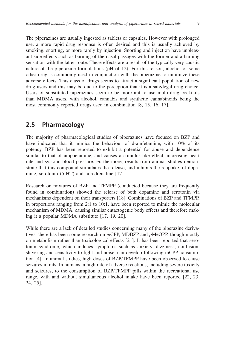<span id="page-16-0"></span>The piperazines are usually ingested as tablets or capsules. However with prolonged use, a more rapid drug response is often desired and this is usually achieved by smoking, snorting, or more rarely by injection. Snorting and injection have unpleasant side effects such as burning of the nasal passages with the former and a burning sensation with the latter route. These effects are a result of the typically very caustic nature of the piperazine formulations (pH of 12). For this reason, alcohol or some other drug is commonly used in conjunction with the piperazine to minimize these adverse effects. This class of drugs seems to attract a significant population of new drug users and this may be due to the perception that it is a safe/legal drug choice. Users of substituted piperazines seem to be more apt to use multi-drug cocktails than MDMA users, with alcohol, cannabis and synthetic cannabinoids being the most commonly reported drugs used in combination [8, 15, 16, 17].

## **2.5 Pharmacology**

The majority of pharmacological studies of piperazines have focused on BZP and have indicated that it mimics the behaviour of d-amfetamine, with 10% of its potency. BZP has been reported to exhibit a potential for abuse and dependence similar to that of amphetamine, and causes a stimulus-like effect, increasing heart rate and systolic blood pressure. Furthermore, results from animal studies demonstrate that this compound stimulates the release, and inhibits the reuptake, of dopamine, serotonin (5-HT) and noradrenaline [17].

Research on mixtures of BZP and TFMPP (conducted because they are frequently found in combination) showed the release of both dopamine and serotonin via mechanisms dependent on their transporters [18]. Combinations of BZP and TFMPP, in proportions ranging from 2:1 to 10:1, have been reported to mimic the molecular mechanism of MDMA, causing similar entactogenic body effects and therefore making it a popular MDMA substitute [17, 19, 20].

While there are a lack of detailed studies concerning many of the piperazine derivatives, there has been some research on *m*CPP, MDBZP and *p*MeOPP, though mostly on metabolism rather than toxicological effects [21]. It has been reported that serotonin syndrome, which induces symptoms such as anxiety, dizziness, confusion, shivering and sensitivity to light and noise, can develop following mCPP consumption [4]. In animal studies, high doses of BZP/TFMPP have been observed to cause seizures in rats. In humans, a high rate of adverse reactions, including severe toxicity and seizures, to the consumption of BZP/TFMPP pills within the recreational use range, with and without simultaneous alcohol intake have been reported [22, 23, 24, 25].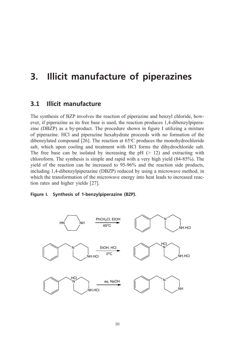# <span id="page-17-0"></span>**3. Illicit manufacture of piperazines**

### **3.1 Illicit manufacture**

The synthesis of BZP involves the reaction of piperazine and benzyl chloride, however, if piperazine as its free base is used, the reaction produces 1,4-dibenzylpiperazine (DBZP) as a by-product. The procedure shown in figure I utilizing a mixture of piperazine. HCl and piperazine hexahydrate proceeds with no formation of the dibenzylated compound [26]. The reaction at  $65^{\circ}$ C produces the monohydrochloride salt, which upon cooling and treatment with HCl forms the dihydrochloride salt. The free base can be isolated by increasing the  $pH$  ( $> 12$ ) and extracting with chloroform. The synthesis is simple and rapid with a very high yield (84-85%). The yield of the reaction can be increased to 95-96% and the reaction side products, including 1,4-dibenzylpiperazine (DBZP) reduced by using a microwave method, in which the transformation of the microwave energy into heat leads to increased reaction rates and higher yields [27].

#### **Figure I. Synthesis of 1-benzylpiperazine (BZP).**

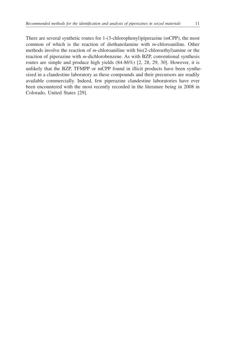There are several synthetic routes for 1-(3-chlorophenyl)piperazine (*m*CPP), the most common of which is the reaction of diethanolamine with *m*-chloroaniline. Other methods involve the reaction of *m*-chloroaniline with bis(2-chloroethyl)amine or the reaction of piperazine with *m*-dichlorobenzene. As with BZP, conventional synthesis routes are simple and produce high yields (84-86%) [2, 28, 29, 30]. However, it is unlikely that the BZP, TFMPP or mCPP found in illicit products have been synthesized in a clandestine laboratory as these compounds and their precursors are readily available commercially. Indeed, few piperazine clandestine laboratories have ever been encountered with the most recently recorded in the literature being in 2008 in Colorado, United States [29].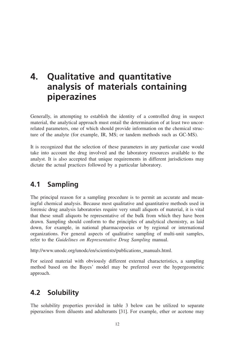# <span id="page-19-0"></span>**4. Qualitative and quantitative analysis of materials containing piperazines**

Generally, in attempting to establish the identity of a controlled drug in suspect material, the analytical approach must entail the determination of at least two uncorrelated parameters, one of which should provide information on the chemical structure of the analyte (for example, IR, MS; or tandem methods such as GC-MS).

It is recognized that the selection of these parameters in any particular case would take into account the drug involved and the laboratory resources available to the analyst. It is also accepted that unique requirements in different jurisdictions may dictate the actual practices followed by a particular laboratory.

# **4.1 Sampling**

The principal reason for a sampling procedure is to permit an accurate and meaningful chemical analysis. Because most qualitative and quantitative methods used in forensic drug analysis laboratories require very small aliquots of material, it is vital that these small aliquots be representative of the bulk from which they have been drawn. Sampling should conform to the principles of analytical chemistry, as laid down, for example, in national pharmacopoeias or by regional or international organizations. For general aspects of qualitative sampling of multi-unit samples, refer to the *Guidelines on Representative Drug Sampling* manual.

http://www.unodc.org/unodc/en/scientists/publications\_manuals.html.

For seized material with obviously different external characteristics, a sampling method based on the Bayes' model may be preferred over the hypergeometric approach.

# **4.2 Solubility**

The solubility properties provided in table 3 below can be utilized to separate piperazines from diluents and adulterants [31]. For example, ether or acetone may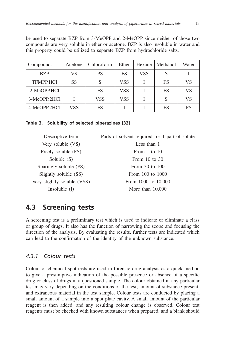<span id="page-20-0"></span>be used to separate BZP from 3-MeOPP and 2-MeOPP since neither of those two compounds are very soluble in ether or acetone. BZP is also insoluble in water and this property could be utilized to separate BZP from hydrochloride salts.

| Compound:        | Acetone | Chloroform | Ether | Hexane     | Methanol | Water |
|------------------|---------|------------|-------|------------|----------|-------|
| <b>BZP</b>       | VS      | <b>PS</b>  | FS    | <b>VSS</b> | S        |       |
| <b>TFMPP.HCI</b> | SS      |            | VSS   |            | FS       | VS    |
| 2-MeOPP.HCl      |         | FS         | VSS   |            | FS       | VS    |
| 3-MeOPP.2HCl     |         | VSS        | VSS   |            | S        | VS    |
| 4-MeOPP.2HCl     | VSS     | FS         |       |            | FS       | FS    |

**Table 3. Solubility of selected piperazines [32]**

| Descriptive term            | Parts of solvent required for 1 part of solute |
|-----------------------------|------------------------------------------------|
| Very soluble (VS)           | Less than 1                                    |
| Freely soluble (FS)         | From 1 to $10$                                 |
| Soluble $(S)$               | From $10$ to $30$                              |
| Sparingly soluble (PS)      | From $30$ to $100$                             |
| Slightly soluble (SS)       | From 100 to 1000                               |
| Very slightly soluble (VSS) | From 1000 to 10,000                            |
| Insoluble $(I)$             | More than $10,000$                             |

## **4.3 Screening tests**

A screening test is a preliminary test which is used to indicate or eliminate a class or group of drugs. It also has the function of narrowing the scope and focusing the direction of the analysis. By evaluating the results, further tests are indicated which can lead to the confirmation of the identity of the unknown substance.

### *4.3.1 Colour tests*

Colour or chemical spot tests are used in forensic drug analysis as a quick method to give a presumptive indication of the possible presence or absence of a specific drug or class of drugs in a questioned sample. The colour obtained in any particular test may vary depending on the conditions of the test, amount of substance present, and extraneous material in the test sample. Colour tests are conducted by placing a small amount of a sample into a spot plate cavity. A small amount of the particular reagent is then added, and any resulting colour change is observed. Colour test reagents must be checked with known substances when prepared, and a blank should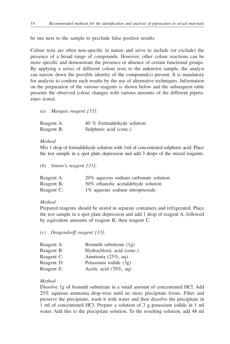be run next to the sample to preclude false positive results.

Colour tests are often non-specific in nature and serve to include (or exclude) the presence of a broad range of compounds. However, other colour reactions can be more specific and demonstrate the presence or absence of certain functional groups. By applying a series of different colour tests to the unknown sample, the analyst can narrow down the possible identity of the compound(s) present. It is mandatory for analysts to confirm such results by the use of alternative techniques. Information on the preparation of the various reagents is shown below and the subsequent table presents the observed colour changes with various amounts of the different piperazines tested.

*(a) Marquis reagent [33]:* 

| Reagent A: | 40 % Formaldehyde solution |
|------------|----------------------------|
| Reagent B: | Sulphuric acid (conc.)     |

#### *Method*

Mix 1 drop of formaldehyde solution with 1ml of concentrated sulphuric acid. Place the test sample in a spot plate depression and add 3 drops of the mixed reagents.

*(b) Simon's reagent [33]:*

| Reagent A: | 20% aqueous sodium carbonate solution |
|------------|---------------------------------------|
| Reagent B: | 50% ethanolic acetal dehyde solution  |
| Reagent C: | 1% aqueous sodium nitroprusside       |

#### *Method*

Prepared reagents should be stored in separate containers and refrigerated. Place the test sample in a spot plate depression and add 1 drop of reagent A, followed by equivalent amounts of reagent B, then reagent C.

*(c) Dragendorff reagent [33]:*

| Reagent A: | Bismuth subnitrate $(1g)$ |
|------------|---------------------------|
| Reagent B: | Hydrochloric acid (conc.) |
| Reagent C: | Ammonia (25%, ag)         |
| Reagent D: | Potassium iodide $(3g)$   |
| Reagent E: | Acetic acid (70%, aq)     |

#### *Method*

Dissolve 1g of bismuth subnitrate in a small amount of concentrated HCl. Add 25% aqueous ammonia drop-wise until no more precipitate forms. Filter and preserve the precipitate, wash it with water and then dissolve the precipitate in 1 ml of concentrated HCl. Prepare a solution of 3 g potassium iodide in 1 ml water. Add this to the precipitate solution. To the resulting solution, add 48 ml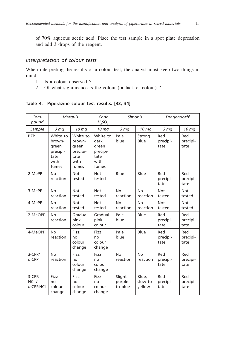of 70% aqueous acetic acid. Place the test sample in a spot plate depression and add 3 drops of the reagent.

### *Interpretation of colour tests*

When interpreting the results of a colour test, the analyst must keep two things in mind:

- 1. Is a colour observed ?
- 2. Of what significance is the colour (or lack of colour) ?

#### **Table 4. Piperazine colour test results. [33, 34]**

| Com-<br>pound                    |                                                                  | Marquis                                                          | Conc.<br>$H_2SO_a$                                             | Simon's                     |                            | Dragendorff             |                         |
|----------------------------------|------------------------------------------------------------------|------------------------------------------------------------------|----------------------------------------------------------------|-----------------------------|----------------------------|-------------------------|-------------------------|
| Sample                           | 3 <sub>mg</sub>                                                  | 10 mg                                                            | 10 <sub>mg</sub>                                               | 3 <sub>mg</sub>             | 10 <sub>mg</sub>           | 3 <sub>mq</sub>         | 10 mg                   |
| <b>BZP</b>                       | White to<br>brown-<br>green<br>precipi-<br>tate<br>with<br>fumes | White to<br>brown-<br>green<br>precipi-<br>tate<br>with<br>fumes | White to<br>dark<br>green<br>precipi-<br>tate<br>with<br>fumes | Pale<br>blue                | Strong<br>Blue             | Red<br>precipi-<br>tate | Red<br>precipi-<br>tate |
| 2-MePP                           | <b>No</b><br>reaction                                            | <b>Not</b><br>tested                                             | Not<br>tested                                                  | Blue                        | Blue                       | Red<br>precipi-<br>tate | Red<br>precipi-<br>tate |
| 3-MePP                           | <b>No</b><br>reaction                                            | <b>Not</b><br>tested                                             | <b>Not</b><br>tested                                           | <b>No</b><br>reaction       | <b>No</b><br>reaction      | <b>Not</b><br>tested    | <b>Not</b><br>tested    |
| 4-MePP                           | No<br>reaction                                                   | Not<br>tested                                                    | <b>Not</b><br>tested                                           | No<br>reaction              | <b>No</b><br>reaction      | <b>Not</b><br>tested    | <b>Not</b><br>tested    |
| 2-MeOPP                          | <b>No</b><br>reaction                                            | Gradual<br>pink<br>colour                                        | Gradual<br>pink<br>colour                                      | Pale<br>blue                | Blue                       | Red<br>precipi-<br>tate | Red<br>precipi-<br>tate |
| 4-MeOPP                          | No<br>reaction                                                   | Fizz<br>no<br>colour<br>change                                   | Fizz<br>no<br>colour<br>change                                 | Pale<br>blue                | Blue                       | Red<br>precipi-<br>tate | Red<br>precipi-<br>tate |
| $3$ -CPP/<br>$m$ CPP             | <b>No</b><br>reaction                                            | Fizz<br>no<br>colour<br>change                                   | Fizz<br>no<br>colour<br>change                                 | <b>No</b><br>reaction       | <b>No</b><br>reaction      | Red<br>precipi-<br>tate | Red<br>precipi-<br>tate |
| 3-CPP.<br>$HCl$ /<br>$m$ CPP.HCl | Fizz<br>no<br>colour<br>change                                   | Fizz<br>no<br>colour<br>change                                   | Fizz<br>no<br>colour<br>change                                 | Slight<br>purple<br>to blue | Blue.<br>slow to<br>yellow | Red<br>precipi-<br>tate | Red<br>precipi-<br>tate |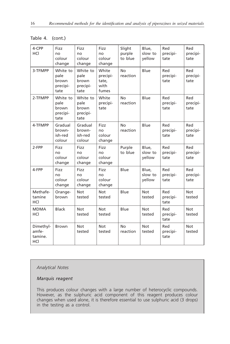| 4-CPP<br>HCI                         | Fizz<br>no<br>colour<br>change                | Fizz<br>no<br>colour<br>change                | Fizz<br>no<br>colour<br>change              | Slight<br>purple<br>to blue | Blue,<br>slow to<br>yellow | Red<br>precipi-<br>tate | Red<br>precipi-<br>tate |
|--------------------------------------|-----------------------------------------------|-----------------------------------------------|---------------------------------------------|-----------------------------|----------------------------|-------------------------|-------------------------|
| 3-TFMPP                              | White to<br>pale<br>brown<br>precipi-<br>tate | White to<br>pale<br>brown<br>precipi-<br>tate | White<br>precipi-<br>tate,<br>with<br>fumes | <b>No</b><br>reaction       | Blue                       | Red<br>precipi-<br>tate | Red<br>precipi-<br>tate |
| 2-TFMPP                              | White to<br>pale<br>brown<br>precipi-<br>tate | White to<br>pale<br>brown<br>precipi-<br>tate | White<br>precipi-<br>tate                   | No<br>reaction              | Blue                       | Red<br>precipi-<br>tate | Red<br>precipi-<br>tate |
| 4-TFMPP                              | Gradual<br>brown-<br>ish-red<br>colour        | Gradual<br>brown-<br>ish-red<br>colour        | Fizz<br>no<br>colour<br>change              | <b>No</b><br>reaction       | Blue                       | Red<br>precipi-<br>tate | Red<br>precipi-<br>tate |
| 2-FPP                                | Fizz<br>no<br>colour<br>change                | Fizz<br>no<br>colour<br>change                | Fizz<br>no<br>colour<br>change              | Purple<br>to blue           | Blue.<br>slow to<br>yellow | Red<br>precipi-<br>tate | Red<br>precipi-<br>tate |
| 4-FPP                                | Fizz<br>no<br>colour<br>change                | Fizz<br>no<br>colour<br>change                | Fizz<br>no<br>colour<br>change              | Blue                        | Blue,<br>slow to<br>vellow | Red<br>precipi-<br>tate | Red<br>precipi-<br>tate |
| Methafe-<br>tamine<br>HCI            | Orange-<br>brown                              | <b>Not</b><br>tested                          | Not<br>tested                               | Blue                        | Not<br>tested              | Red<br>precipi-<br>tate | Not<br>tested           |
| <b>MDMA</b><br>HCI                   | <b>Black</b>                                  | <b>Not</b><br>tested                          | Not<br>tested                               | Blue                        | <b>Not</b><br>tested       | Red<br>precipi-<br>tate | <b>Not</b><br>tested    |
| Dimethyl-<br>amfe-<br>tamine.<br>HCI | <b>Brown</b>                                  | <b>Not</b><br>tested                          | <b>Not</b><br>tested                        | <b>No</b><br>reaction       | <b>Not</b><br>tested       | Red<br>precipi-<br>tate | <b>Not</b><br>tested    |

#### Table 4. (cont.)

#### *Analytical Notes*

#### *Marquis reagent*

This produces colour changes with a large number of heterocyclic compounds. However, as the sulphuric acid component of this reagent produces colour changes when used alone, it is therefore essential to use sulphuric acid (3 drops) in the testing as a control.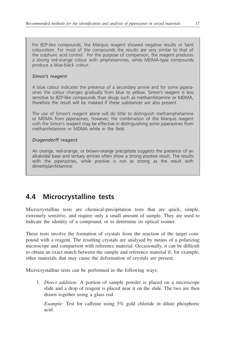<span id="page-24-0"></span>For BZP-like compounds, the Marquis reagent showed negative results or faint colouration. For most of the compounds the results are very similar to that of the sulphuric acid control. For the purpose of comparison, the reagent produces a strong red-orange colour with amphetamines, while MDMA-type compounds produce a blue-black colour.

#### *Simon's reagent*

A blue colour indicates the presence of a secondary amine and for some piperazines the colour changes gradually from blue to yellow. Simon's reagent is less sensitive to BZP-like compounds than drugs such as methamfetamine or MDMA, therefore the result will be masked if these substances are also present.

The use of Simon's reagent alone will do little to distinguish methamphetamine or MDMA from piperazines, however, the combination of the Marquis reagent with the Simon's reagent may be effective in distinguishing some piperazines from methamfetamine or MDMA while in the field.

#### *Dragendorff reagent*

An orange, red-orange, or brown-orange precipitate suggests the presence of an alkaloidal base and tertiary amines often show a strong positive result. The results with the piperazines, while positive is not as strong as the result with dimethylamfetamine.

# **4.4 Microcrystalline tests**

Microcrystalline tests are chemical-precipitation tests that are quick, simple, extremely sensitive, and require only a small amount of sample. They are used to indicate the identity of a compound, or to determine its optical isomer.

These tests involve the formation of crystals from the reaction of the target compound with a reagent. The resulting crystals are analysed by means of a polarizing microscope and comparison with reference material. Occasionally, it can be difficult to obtain an exact match between the sample and reference material if, for example, other materials that may cause the deformation of crystals are present.

Microcrystalline tests can be performed in the following ways:

1. *Direct addition:* A portion of sample powder is placed on a microscope slide and a drop of reagent is placed near it on the slide. The two are then drawn together using a glass rod.

*Example:* Test for caffeine using 5% gold chloride in dilute phosphoric acid.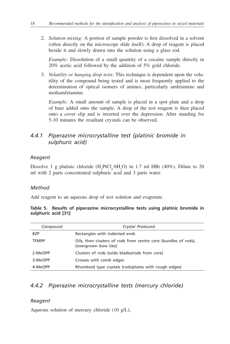2. *Solution mixing:* A portion of sample powder is first dissolved in a solvent (often directly on the microscope slide itself). A drop of reagent is placed beside it and slowly drawn into the solution using a glass rod.

*Example:* Dissolution of a small quantity of a cocaine sample directly in 20% acetic acid followed by the addition of 5% gold chloride.

3. *Volatility or hanging drop tests:* This technique is dependent upon the volatility of the compound being tested and is most frequently applied to the determination of optical isomers of amines, particularly amfetamine and methamfetamine.

*Example:* A small amount of sample is placed in a spot plate and a drop of base added onto the sample. A drop of the test reagent is then placed onto a cover slip and is inverted over the depression. After standing for 5-10 minutes the resultant crystals can be observed.

### *4.4.1 Piperazine microcrystalline test (platinic bromide in sulphuric acid)*

#### *Reagent*

Dissolve 1 g platinic chloride  $(H_2PtCl_6·6H_2O)$  in 1.7 ml HBr (40%). Dilute to 20 ml with 2 parts concentrated sulphuric acid and 3 parts water.

#### *Method*

Add reagent to an aqueous drop of test solution and evaporate.

|                     | Table 5. Results of piperazine microcrystalline tests using platinic bromide in |  |  |  |
|---------------------|---------------------------------------------------------------------------------|--|--|--|
| sulphuric acid [31] |                                                                                 |  |  |  |

| Compound     | Crystal Produced                                                                        |  |  |
|--------------|-----------------------------------------------------------------------------------------|--|--|
| R7P          | Rectangles with indented ends                                                           |  |  |
| <b>TFMPP</b> | Oils, then clusters of rods from centre core (bundles of rods),<br>(overgrown bow ties) |  |  |
| 2-MeOPP      | Clusters of rods (wide blades/rods from core)                                           |  |  |
| 3-MeOPP      | Crosses with comb edges                                                                 |  |  |
| 4-MeOPP      | Rhomboid type crystals (rods/plates with rough edges)                                   |  |  |

### *4.4.2 Piperazine microcrystalline tests (mercury chloride)*

#### *Reagent*

Aqueous solution of mercury chloride (10 g/L),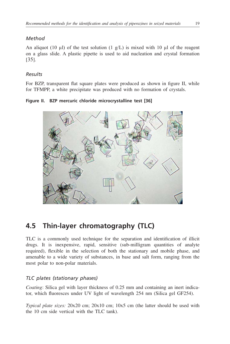### <span id="page-26-0"></span>*Method*

An aliquot (10  $\mu$ ) of the test solution (1  $\alpha$ /L) is mixed with 10  $\mu$ l of the reagent on a glass slide. A plastic pipette is used to aid nucleation and crystal formation [35].

### *Results*

For BZP, transparent flat square plates were produced as shown in figure II, while for TFMPP, a white precipitate was produced with no formation of crystals.

**Figure II. BZP mercuric chloride microcrystalline test [36]**



# **4.5 Thin-layer chromatography (TLC)**

TLC is a commonly used technique for the separation and identification of illicit drugs. It is inexpensive, rapid, sensitive (sub-milligram quantities of analyte required), flexible in the selection of both the stationary and mobile phase, and amenable to a wide variety of substances, in base and salt form, ranging from the most polar to non-polar materials.

### *TLC plates (stationary phases)*

*Coating*: Silica gel with layer thickness of 0.25 mm and containing an inert indicator, which fluoresces under UV light of wavelength 254 nm (Silica gel GF254).

*Typical plate sizes:* 20x20 cm; 20x10 cm; 10x5 cm (the latter should be used with the 10 cm side vertical with the TLC tank).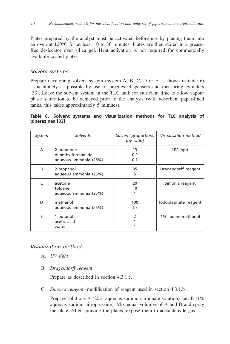Plates prepared by the analyst must be activated before use by placing them into an oven at 120°C for at least 10 to 30 minutes. Plates are then stored in a greasefree desiccator over silica gel. Heat activation is not required for commercially available coated plates.

#### *Solvent systems*

Prepare developing solvent system (system A, B, C, D or E as shown in table 6) as accurately as possible by use of pipettes, dispensers and measuring cylinders [33]. Leave the solvent system in the TLC tank for sufficient time to allow vapour phase saturation to be achieved prior to the analysis (with adsorbent paper-lined tanks, this takes approximately 5 minutes).

**Table 6. Solvent systems and visualization methods for TLC analysis of piperazines [33]**

| System | Solvents                                                 | Solvent proportions<br>(by ratio) | Visualisation method  |
|--------|----------------------------------------------------------|-----------------------------------|-----------------------|
| A      | 2-butanone<br>dimethylformamide<br>aqueous ammonia (25%) | 13<br>0.9<br>0.1                  | UV light              |
| R      | 2-propanol<br>aqueous ammonia (25%)                      | 95<br>5                           | Dragendorff reagent   |
| C      | acetone<br>toluene<br>agueous ammonia (25%)              | 20<br>10                          | Simon's reagent       |
| D      | methanol<br>agueous ammonia (25%)                        | 100<br>1.5                        | lodoplatinate reagent |
| F      | 1-butanol<br>acetic acid<br>water                        | 2                                 | 1% Iodine-methanol    |

#### *Visualization methods*

- A. *UV light*
- B. *Dragendorff reagent*

Prepare as described in section 4.3.1.c.

C. *Simon's reagent* (modification of reagent used in section 4.3.1.b).

Prepare solutions A (20% aqueous sodium carbonate solution) and B (1%) aqueous sodium nitroprusside). Mix equal volumes of A and B and spray the plate. After spraying the plates, expose them to acetaldehyde gas.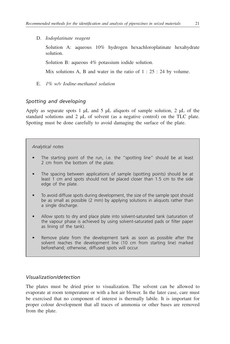D. *Iodoplatinate reagent*

Solution A: aqueous 10% hydrogen hexachloroplatinate hexahydrate solution.

Solution B: aqueous 4% potassium iodide solution.

Mix solutions A, B and water in the ratio of  $1: 25: 24$  by volume.

E. *1% w/v Iodine-methanol solution* 

### *Spotting and developing*

Apply as separate spots 1  $\mu$ L and 5  $\mu$ L aliquots of sample solution, 2  $\mu$ L of the standard solutions and 2 µL of solvent (as a negative control) on the TLC plate. Spotting must be done carefully to avoid damaging the surface of the plate.

#### *Analytical notes*

- The starting point of the run, i.e. the "spotting line" should be at least 2 cm from the bottom of the plate.
- The spacing between applications of sample (spotting points) should be at least 1 cm and spots should not be placed closer than 1.5 cm to the side edge of the plate.
- To avoid diffuse spots during development, the size of the sample spot should be as small as possible (2 mm) by applying solutions in aliquots rather than a single discharge.
- Allow spots to dry and place plate into solvent-saturated tank (saturation of the vapour phase is achieved by using solvent-saturated pads or filter paper as lining of the tank).
- Remove plate from the development tank as soon as possible after the solvent reaches the development line (10 cm from starting line) marked beforehand; otherwise, diffused spots will occur.

#### *Visualization/detection*

The plates must be dried prior to visualization. The solvent can be allowed to evaporate at room temperature or with a hot air blower. In the later case, care must be exercised that no component of interest is thermally labile. It is important for proper colour development that all traces of ammonia or other bases are removed from the plate.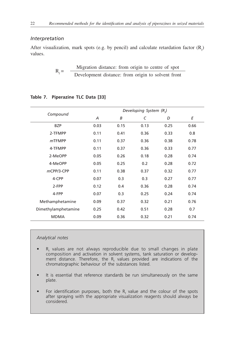#### *Interpretation*

After visualization, mark spots (e.g. by pencil) and calculate retardation factor  $(R<sub>f</sub>)$ values.

$$
R_f = \frac{Migration distance: from origin to centre of spot}{Development distance: from origin to solvent front}
$$

|                     | Developing System (R.) |      |      |      |      |
|---------------------|------------------------|------|------|------|------|
| Compound            | A                      | B    | C    | D    | E    |
| <b>BZP</b>          | 0.03                   | 0.15 | 0.13 | 0.25 | 0.66 |
| 2-TFMPP             | 0.11                   | 0.41 | 0.36 | 0.33 | 0.8  |
| <i>m</i> TFMPP      | 0.11                   | 0.37 | 0.36 | 0.38 | 0.78 |
| 4-TFMPP             | 0.11                   | 0.37 | 0.36 | 0.33 | 0.77 |
| 2-MeOPP             | 0.05                   | 0.26 | 0.18 | 0.28 | 0.74 |
| 4-MeOPP             | 0.05                   | 0.25 | 0.2  | 0.28 | 0.72 |
| mCPP/3-CPP          | 0.11                   | 0.38 | 0.37 | 0.32 | 0.77 |
| 4-CPP               | 0.07                   | 0.3  | 0.3  | 0.27 | 0.77 |
| 2-FPP               | 0.12                   | 0.4  | 0.36 | 0.28 | 0.74 |
| 4-FPP               | 0.07                   | 0.3  | 0.25 | 0.24 | 0.74 |
| Methamphetamine     | 0.09                   | 0.37 | 0.32 | 0.21 | 0.76 |
| Dimethylamphetamine | 0.25                   | 0.42 | 0.51 | 0.28 | 0.7  |
| <b>MDMA</b>         | 0.09                   | 0.36 | 0.32 | 0.21 | 0.74 |

#### **Table 7. Piperazine TLC Data [33]**

#### *Analytical notes*

- $R_f$  values are not always reproducible due to small changes in plate composition and activation in solvent systems, tank saturation or development distance. Therefore, the  $R_f$  values provided are indications of the chromatographic behaviour of the substances listed.
- It is essential that reference standards be run simultaneously on the same plate.
- For identification purposes, both the  $R_f$  value and the colour of the spots after spraying with the appropriate visualization reagents should always be considered.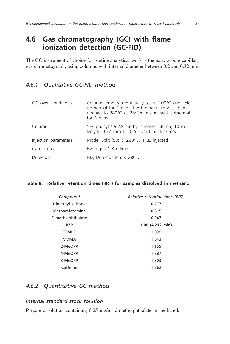# <span id="page-30-0"></span>**4.6 Gas chromatography (GC) with flame ionization detection (GC-FID)**

The GC instrument of choice for routine analytical work is the narrow bore capillary gas chromatograph, using columns with internal diameter between 0.2 and 0.32 mm.

### *4.6.1 Qualitative GC-FID method*

| GC oven conditions:   | Column temperature initially set at 100°C and held<br>isothermal for 1 min., the temperature was then<br>ramped to 280°C at 25°C/min and held isothermal<br>for $\overline{3}$ mins |
|-----------------------|-------------------------------------------------------------------------------------------------------------------------------------------------------------------------------------|
| Column:               | 5% phenyl / 95% methyl silicone column, 10 m<br>length, 0.32 mm ID, 0.52 µm film thickness                                                                                          |
| Injection parameters: | Mode: Split (50:1), 280°C, 1 µL injected                                                                                                                                            |
| Carrier gas:          | Hydrogen 1.8 ml/min                                                                                                                                                                 |
| Detector:             | FID, Detector temp: 280°C                                                                                                                                                           |

#### **Table 8. Relative retention times (RRT) for samples dissolved in methanol**

| Compound          | Relative retention time (RRT) |
|-------------------|-------------------------------|
| Dimethyl sulfone  | 0.277                         |
| Methamfetamine    | 0.615                         |
| Dimethylphthalate | 0.947                         |
| <b>BZP</b>        | 1.00 (4.212 min)              |
| <b>TFMPP</b>      | 1.039                         |
| <b>MDMA</b>       | 1.043                         |
| 2-MeOPP           | 1.155                         |
| 4-MeOPP           | 1.287                         |
| 3-MeOPP           | 1.303                         |
| Caffeine          | 1.362                         |

### *4.6.2 Quantitative GC method*

#### *Internal standard stock solution*

Prepare a solution containing 0.25 mg/ml dimethylphthalate in methanol.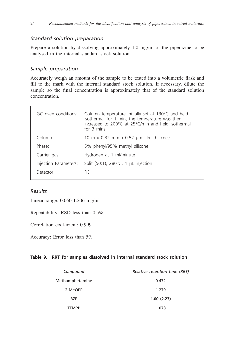#### *Standard solution preparation*

Prepare a solution by dissolving approximately 1.0 mg/ml of the piperazine to be analysed in the internal standard stock solution.

### *Sample preparation*

Accurately weigh an amount of the sample to be tested into a volumetric flask and fill to the mark with the internal standard stock solution. If necessary, dilute the sample so the final concentration is approximately that of the standard solution concentration.

| GC oven conditions:   | Column temperature initially set at 130°C and held<br>isothermal for 1 min, the temperature was then<br>increased to 200°C at 25°C/min and held isothermal<br>for 3 mins |  |  |
|-----------------------|--------------------------------------------------------------------------------------------------------------------------------------------------------------------------|--|--|
| Column:               | 10 m x 0.32 mm x 0.52 $\mu$ m film thickness                                                                                                                             |  |  |
| Phase:                | 5% phenyl/95% methyl silicone                                                                                                                                            |  |  |
| Carrier gas:          | Hydrogen at 1 ml/minute                                                                                                                                                  |  |  |
| Injection Parameters: | Split $(50:1)$ , 280 $\degree$ C, 1 µL injection                                                                                                                         |  |  |
| Detector:             | <b>FID</b>                                                                                                                                                               |  |  |

#### *Results*

Linear range: 0.050-1.206 mg/ml

Repeatability: RSD less than 0.5%

Correlation coefficient: 0.999

Accuracy: Error less than 5%

#### **Table 9. RRT for samples dissolved in internal standard stock solution**

| Compound        | Relative retention time (RRT) |
|-----------------|-------------------------------|
| Methamphetamine | 0.472                         |
| 2-MeOPP         | 1.279                         |
| <b>BZP</b>      | 1.00(2.23)                    |
| TFMPP           | 1.073                         |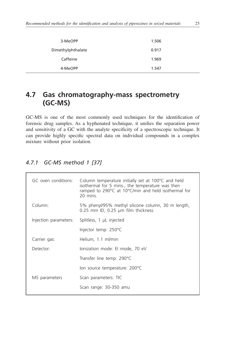<span id="page-32-0"></span>

| 3-MeOPP           | 1.506 |
|-------------------|-------|
| Dimethylphthalate | 0.917 |
| Caffeine          | 1.969 |
| 4-MeOPP           | 1.547 |

# **4.7 Gas chromatography-mass spectrometry (GC-MS)**

GC-MS is one of the most commonly used techniques for the identification of forensic drug samples. As a hyphenated technique, it unifies the separation power and sensitivity of a GC with the analyte specificity of a spectroscopic technique. It can provide highly specific spectral data on individual compounds in a complex mixture without prior isolation.

### *4.7.1 GC-MS method 1 [37]*

|  | GC oven conditions:   | Column temperature initially set at 100°C and held<br>isothermal for 5 mins., the temperature was then<br>ramped to 290°C at 10°C/min and held isothermal for<br>20 mins. |  |  |
|--|-----------------------|---------------------------------------------------------------------------------------------------------------------------------------------------------------------------|--|--|
|  | Column:               | 5% phenyl/95% methyl silicone column, 30 m length,<br>0.25 mm ID, 0.25 µm film thickness                                                                                  |  |  |
|  | Injection parameters: | Splitless, 1 µL injected                                                                                                                                                  |  |  |
|  |                       | Injector temp: 250°C                                                                                                                                                      |  |  |
|  | Carrier gas:          | Helium, 1.1 ml/min                                                                                                                                                        |  |  |
|  | Detector:             | lonization mode: El mode, 70 eV                                                                                                                                           |  |  |
|  |                       | Transfer line temp: 290°C                                                                                                                                                 |  |  |
|  |                       | lon source temperature: 200°C                                                                                                                                             |  |  |
|  | MS parameters         | Scan parameters: TIC                                                                                                                                                      |  |  |
|  |                       | Scan range: 30-350 amu                                                                                                                                                    |  |  |
|  |                       |                                                                                                                                                                           |  |  |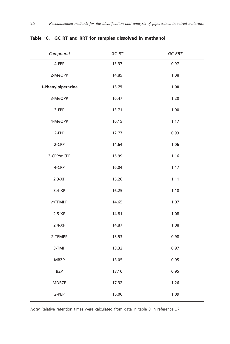| Compound           | $GC\ RT$ | $GC$ $RRT$ |
|--------------------|----------|------------|
| 4-FPP              | 13.37    | 0.97       |
| 2-MeOPP            | 14.85    | 1.08       |
| 1-Phenylpiperazine | 13.75    | 1.00       |
| 3-MeOPP            | 16.47    | 1.20       |
| 3-FPP              | 13.71    | 1.00       |
| 4-MeOPP            | 16.15    | 1.17       |
| 2-FPP              | 12.77    | 0.93       |
| 2-CPP              | 14.64    | 1.06       |
| 3-CPP/mCPP         | 15.99    | 1.16       |
| 4-CPP              | 16.04    | 1.17       |
| $2,3-XP$           | 15.26    | 1.11       |
| $3,4-XP$           | 16.25    | 1.18       |
| $m$ TFMPP          | 14.65    | 1.07       |
| $2,5-XP$           | 14.81    | 1.08       |
| $2,4-XP$           | 14.87    | 1.08       |
| 2-TFMPP            | 13.53    | 0.98       |
| 3-TMP              | 13.32    | 0.97       |
| <b>MBZP</b>        | 13.05    | 0.95       |
| <b>BZP</b>         | 13.10    | 0.95       |
| <b>MDBZP</b>       | 17.32    | 1.26       |
| 2-PEP              | 15.00    | 1.09       |

### **Table 10. GC RT and RRT for samples dissolved in methanol**

*Note:* Relative retention times were calculated from data in table 3 in reference 37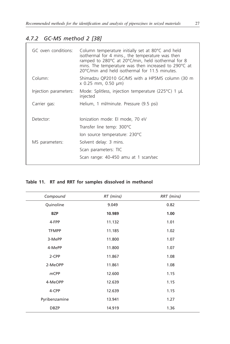## *4.7.2 GC-MS method 2 [38]*

| GC oven conditions:   | Column temperature initially set at 80°C and held<br>isothermal for 4 mins., the temperature was then<br>ramped to 280°C at 20°C/min, held isothermal for 8<br>mins. The temperature was then increased to 290°C at<br>20°C/min and held isothermal for 11.5 minutes |
|-----------------------|----------------------------------------------------------------------------------------------------------------------------------------------------------------------------------------------------------------------------------------------------------------------|
| Column:               | Shimadzu QP2010 GC/MS with a HP5MS column (30 m<br>x 0.25 mm, 0.50 µm)                                                                                                                                                                                               |
| Injection parameters: | Mode: Splitless, injection temperature (225 $\degree$ C) 1 µL<br>injected                                                                                                                                                                                            |
| Carrier gas:          | Helium, 1 ml/minute. Pressure (9.5 psi)                                                                                                                                                                                                                              |
| Detector:             | lonization mode: El mode, 70 eV                                                                                                                                                                                                                                      |
|                       | Transfer line temp: 300°C                                                                                                                                                                                                                                            |
|                       | lon source temperature: 230°C                                                                                                                                                                                                                                        |
| MS parameters:        | Solvent delay: 3 mins.                                                                                                                                                                                                                                               |
|                       | Scan parameters: TIC                                                                                                                                                                                                                                                 |
|                       | Scan range: 40-450 amu at 1 scan/sec                                                                                                                                                                                                                                 |
|                       |                                                                                                                                                                                                                                                                      |

### **Table 11. RT and RRT for samples dissolved in methanol**

| Compound      | RT (mins) | RRT (mins) |
|---------------|-----------|------------|
| Quinoline     | 9.049     | 0.82       |
| <b>BZP</b>    | 10.989    | 1.00       |
| 4-FPP         | 11.132    | 1.01       |
| <b>TFMPP</b>  | 11.185    | 1.02       |
| 3-MePP        | 11.800    | 1.07       |
| 4-MePP        | 11.800    | 1.07       |
| 2-CPP         | 11.867    | 1.08       |
| 2-MeOPP       | 11.861    | 1.08       |
| $m$ CPP       | 12.600    | 1.15       |
| 4-MeOPP       | 12.639    | 1.15       |
| 4-CPP         | 12.639    | 1.15       |
| Pyribenzamine | 13.941    | 1.27       |
| <b>DBZP</b>   | 14.919    | 1.36       |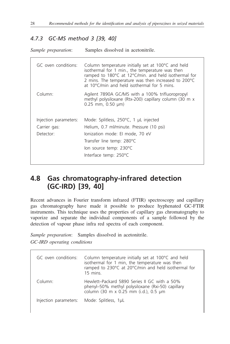## <span id="page-35-0"></span>*4.7.3 GC-MS method 3 [39, 40]*

*Sample preparation*: Samples dissolved in acetonitrile.

| GC oven conditions:                   | Column temperature initially set at 100°C and held<br>isothermal for 1 min., the temperature was then<br>ramped to 180°C at 12°C/min. and held isothermal for<br>2 mins. The temperature was then increased to 200 °C<br>at 10°C/min and held isothermal for 5 mins. |
|---------------------------------------|----------------------------------------------------------------------------------------------------------------------------------------------------------------------------------------------------------------------------------------------------------------------|
| Column:                               | Agilent 7890A GC/MS with a 100% trifluoropropyl<br>methyl polysiloxane (Rtx-200) capillary column (30 m x<br>$0.25$ mm, $0.50$ µm)                                                                                                                                   |
| Injection parameters:<br>Carrier gas: | Mode: Splitless, $250^{\circ}$ C, 1 µL injected<br>Helium, 0.7 ml/minute. Pressure (10 psi)                                                                                                                                                                          |
| Detector:                             | lonization mode: El mode, 70 eV                                                                                                                                                                                                                                      |
|                                       | Transfer line temp: 280°C                                                                                                                                                                                                                                            |
|                                       | lon source temp: 230°C                                                                                                                                                                                                                                               |
|                                       | Interface temp: 250°C                                                                                                                                                                                                                                                |

# **4.8 Gas chromatography-infrared detection (GC-IRD) [39, 40]**

Recent advances in Fourier transform infrared (FTIR) spectroscopy and capillary gas chromatography have made it possible to produce hyphenated GC-FTIR instruments. This technique uses the properties of capillary gas chromatography to vaporize and separate the individual components of a sample followed by the detection of vapour phase infra red spectra of each component.

*Sample preparation*: Samples dissolved in acetonitrile. *GC-IRD operating conditions*

| GC oven conditions:   | Column temperature initially set at 100°C and held<br>isothermal for 1 min, the temperature was then<br>ramped to 230°C at 20°C/min and held isothermal for<br>$15 \text{ mins}$ |
|-----------------------|----------------------------------------------------------------------------------------------------------------------------------------------------------------------------------|
| Column <sup>.</sup>   | Hewlett-Packard 5890 Series II GC with a 50%<br>phenyl-50% methyl polysiloxane (Rxi-50) capillary<br>column (30 m x 0.25 mm (i.d.), 0.5 µm                                       |
| Injection parameters: | Mode: Splitless, 1µL                                                                                                                                                             |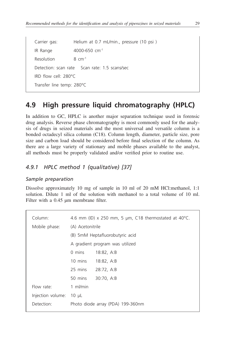<span id="page-36-0"></span>Carrier gas: Helium at 0.7 mL/min., pressure (10 psi ) IR Range 4000-650 cm-1 Resolution  $8 \text{ cm}^{-1}$ Detection: scan rate Scan rate: 1.5 scans/sec IRD flow cell: 280°C Transfer line temp: 280°C

# **4.9 High pressure liquid chromatography (HPLC)**

In addition to GC, HPLC is another major separation technique used in forensic drug analysis. Reverse phase chromatography is most commonly used for the analysis of drugs in seized materials and the most universal and versatile column is a bonded octadecyl silica column (C18). Column length, diameter, particle size, pore size and carbon load should be considered before final selection of the column. As there are a large variety of stationary and mobile phases available to the analyst, all methods must be properly validated and/or verified prior to routine use.

### *4.9.1 HPLC method 1 (qualitative) [37]*

#### *Sample preparation*

Dissolve approximately 10 mg of sample in 10 ml of 20 mM HCl:methanol, 1:1 solution. Dilute 1 ml of the solution with methanol to a total volume of 10 ml. Filter with a 0.45 um membrane filter.

| Column:           |                                 | 4.6 mm (ID) x 250 mm, 5 µm, C18 thermostated at 40 $^{\circ}$ C. |
|-------------------|---------------------------------|------------------------------------------------------------------|
| Mobile phase:     | (A) Acetonitrile                |                                                                  |
|                   |                                 | (B) 5mM Heptafluorobutyric acid                                  |
|                   | A gradient program was utilized |                                                                  |
|                   | 0 mins                          | 18:82, A:B                                                       |
|                   | 10 mins                         | 18:82, A:B                                                       |
|                   | 25 mins                         | 28:72, A:B                                                       |
|                   | 50 mins                         | 30:70, A:B                                                       |
| Flow rate:        | 1 ml/min                        |                                                                  |
| Injection volume: | 10 µL                           |                                                                  |
| Detection:        |                                 | Photo diode array (PDA) 199-360nm                                |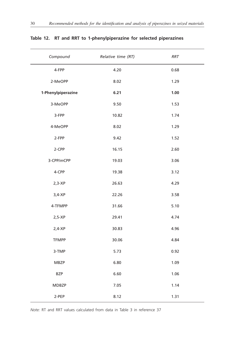| Compound           | Relative time (RT) | <b>RRT</b> |
|--------------------|--------------------|------------|
| 4-FPP              | 4.20               | 0.68       |
| 2-MeOPP            | 8.02               | 1.29       |
| 1-Phenylpiperazine | 6.21               | 1.00       |
| 3-MeOPP            | 9.50               | 1.53       |
| 3-FPP              | 10.82              | 1.74       |
| 4-MeOPP            | 8.02               | 1.29       |
| 2-FPP              | 9.42               | 1.52       |
| 2-CPP              | 16.15              | 2.60       |
| 3-CPP/mCPP         | 19.03              | 3.06       |
| 4-CPP              | 19.38              | 3.12       |
| $2,3-XP$           | 26.63              | 4.29       |
| $3,4-XP$           | 22.26              | 3.58       |
| 4-TFMPP            | 31.66              | 5.10       |
| $2,5-XP$           | 29.41              | 4.74       |
| $2,4-XP$           | 30.83              | 4.96       |
| <b>TFMPP</b>       | 30.06              | 4.84       |
| 3-TMP              | 5.73               | 0.92       |
| MBZP               | 6.80               | 1.09       |
| <b>BZP</b>         | 6.60               | 1.06       |
| MDBZP              | 7.05               | 1.14       |
| 2-PEP              | 8.12               | 1.31       |

### **Table 12. RT and RRT to 1-phenylpiperazine for selected piperazines**

*Note:* RT and RRT values calculated from data in Table 3 in reference 37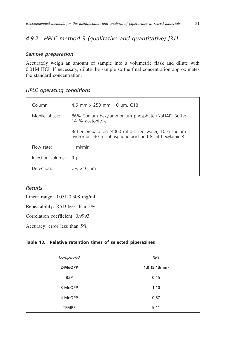## <span id="page-38-0"></span>*4.9.2 HPLC method 3 (qualitative and quantitative) [31]*

#### *Sample preparation*

Accurately weigh an amount of sample into a volumetric flask and dilute with 0.01M HCl. If necessary, dilute the sample so the final concentration approximates the standard concentration.

#### *HPLC operating conditions*

| Column:           | 4.6 mm x 250 mm, 10 µm, C18                                                                                       |
|-------------------|-------------------------------------------------------------------------------------------------------------------|
| Mobile phase:     | 86% Sodium hexylammonium phosphate (NaHAP) Buffer :<br>14 % acetonitrile                                          |
|                   | Buffer preparation (4000 ml distilled water, 10 g sodium<br>hydroxide, 30 ml phosphoric acid and 8 ml hexylamine) |
| Flow rate:        | 1 ml/min                                                                                                          |
| Injection volume: | $3 \mu L$                                                                                                         |
| Detection:        | UV. 210 nm                                                                                                        |
|                   |                                                                                                                   |

### *Results*

Linear range: 0.051-0.508 mg/ml

Repeatability: RSD less than 3%

Correlation coefficient: 0.9993

Accuracy: error less than 5%

#### **Table 13. Relative retention times of selected piperazines**

| Compound     | <b>RRT</b>      |
|--------------|-----------------|
| 2-MeOPP      | $1.0$ (5.13min) |
| <b>BZP</b>   | 0.45            |
| 3-MeOPP      | 1.10            |
| 4-MeOPP      | 0.87            |
| <b>TFMPP</b> | 5.11            |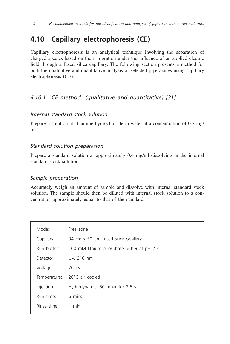# <span id="page-39-0"></span>**4.10 Capillary electrophoresis (CE)**

Capillary electrophoresis is an analytical technique involving the separation of charged species based on their migration under the influence of an applied electric field through a fused silica capillary. The following section presents a method for both the qualitative and quantitative analysis of selected piperazines using capillary electrophoresis (CE).

## *4.10.1 CE method (qualitative and quantitative) [31]*

### *Internal standard stock solution*

Prepare a solution of thiamine hydrochloride in water at a concentration of 0.2 mg/ ml.

### *Standard solution preparation*

Prepare a standard solution at approximately 0.4 mg/ml dissolving in the internal standard stock solution.

### *Sample preparation*

Accurately weigh an amount of sample and dissolve with internal standard stock solution. The sample should then be diluted with internal stock solution to a concentration approximately equal to that of the standard.

| Mode:        | Free zone                                 |
|--------------|-------------------------------------------|
| Capillary:   | 34 cm x 50 µm fused silica capillary      |
| Run buffer:  | 100 mM lithium phosphate buffer at pH 2.3 |
| Detector:    | UV, 210 nm                                |
| Voltage:     | 20 kV                                     |
| Temperature: | 20°C air cooled                           |
| Injection:   | Hydrodynamic, 50 mbar for 2.5 s           |
| Run time:    | 6 mins.                                   |
| Rinse time:  | 1 min                                     |
|              |                                           |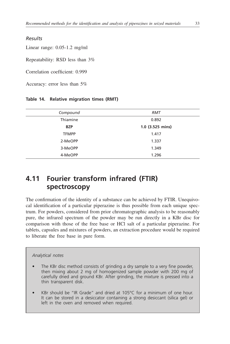#### *Results*

Linear range: 0.05-1.2 mg/ml

Repeatability: RSD less than 3%

Correlation coefficient: 0.999

Accuracy: error less than 5%

#### **Table 14. Relative migration times (RMT)**

| Compound     | <b>RMT</b>         |
|--------------|--------------------|
| Thiamine     | 0.892              |
| <b>BZP</b>   | $1.0$ (3.525 mins) |
| <b>TFMPP</b> | 1.417              |
| 2-MeOPP      | 1.337              |
| 3-MeOPP      | 1.349              |
| 4-MeOPP      | 1.296              |

# **4.11 Fourier transform infrared (FTIR) spectroscopy**

The confirmation of the identity of a substance can be achieved by FTIR. Unequivocal identification of a particular piperazine is thus possible from each unique spectrum. For powders, considered from prior chromatographic analysis to be reasonably pure, the infrared spectrum of the powder may be run directly in a KBr disc for comparison with those of the free base or HCl salt of a particular piperazine. For tablets, capsules and mixtures of powders, an extraction procedure would be required to liberate the free base in pure form.

#### *Analytical notes*

- The KBr disc method consists of grinding a dry sample to a very fine powder, then mixing about 2 mg of homogenized sample powder with 200 mg of carefully dried and ground KBr. After grinding, the mixture is pressed into a thin transparent disk.
- KBr should be "IR Grade" and dried at 105°C for a minimum of one hour. It can be stored in a desiccator containing a strong desiccant (silica gel) or left in the oven and removed when required.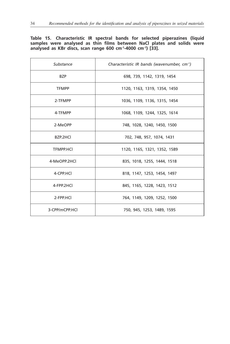#### <span id="page-41-0"></span>**Table 15. Characteristic IR spectral bands for selected piperazines (liquid samples were analysed as thin films between NaCl plates and solids were analysed as KBr discs, scan range 600 cm-1-4000 cm-1) [33].**

| Substance        | Characteristic IR bands (wavenumber, cm <sup>-1</sup> ) |
|------------------|---------------------------------------------------------|
| <b>BZP</b>       | 698, 739, 1142, 1319, 1454                              |
| <b>TFMPP</b>     | 1120, 1163, 1319, 1354, 1450                            |
| 2-TFMPP          | 1036, 1109, 1136, 1315, 1454                            |
| 4-TFMPP          | 1068, 1109, 1244, 1325, 1614                            |
| 2-MeOPP          | 748, 1028, 1240, 1450, 1500                             |
| BZP.2HCL         | 702, 748, 957, 1074, 1431                               |
| <b>TFMPP.HCI</b> | 1120, 1165, 1321, 1352, 1589                            |
| 4-MeOPP.2HCl     | 835, 1018, 1255, 1444, 1518                             |
| 4-CPP.HCL        | 818, 1147, 1253, 1454, 1497                             |
| 4-FPP.2HCl       | 845, 1165, 1228, 1423, 1512                             |
| 2-FPP.HCl        | 764, 1149, 1209, 1252, 1500                             |
| 3-CPP/mCPP.HCl   | 750, 945, 1253, 1489, 1595                              |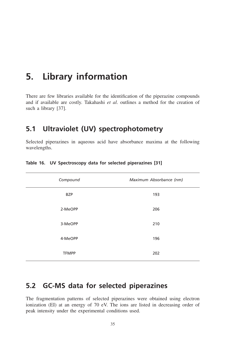# **5. Library information**

There are few libraries available for the identification of the piperazine compounds and if available are costly. Takahashi *et al*. outlines a method for the creation of such a library [37].

## **5.1 Ultraviolet (UV) spectrophotometry**

Selected piperazines in aqueous acid have absorbance maxima at the following wavelengths.

| Compound     | Maximum Absorbance (nm) |  |  |  |  |
|--------------|-------------------------|--|--|--|--|
| <b>BZP</b>   | 193                     |  |  |  |  |
| 2-MeOPP      | 206                     |  |  |  |  |
| 3-MeOPP      | 210                     |  |  |  |  |
| 4-MeOPP      | 196                     |  |  |  |  |
| <b>TFMPP</b> | 202                     |  |  |  |  |

**Table 16. UV Spectroscopy data for selected piperazines [31]**

# **5.2 GC-MS data for selected piperazines**

The fragmentation patterns of selected piperazines were obtained using electron ionization (EI) at an energy of 70 eV. The ions are listed in decreasing order of peak intensity under the experimental conditions used.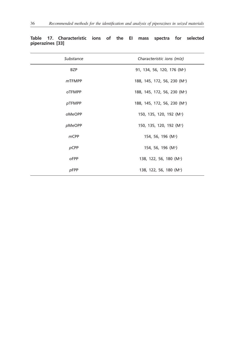| Substance     | Characteristic ions (m/z)                |  |  |  |  |
|---------------|------------------------------------------|--|--|--|--|
| <b>BZP</b>    | 91, 134, 56, 120, 176 (M <sup>+</sup> )  |  |  |  |  |
| $m$ TFMPP     | 188, 145, 172, 56, 230 (M <sup>+</sup> ) |  |  |  |  |
| <b>OTFMPP</b> | 188, 145, 172, 56, 230 (M <sup>+</sup> ) |  |  |  |  |
| pTFMPP        | 188, 145, 172, 56, 230 (M <sup>+</sup> ) |  |  |  |  |
| oMeOPP        | 150, 135, 120, 192 (M <sup>+</sup> )     |  |  |  |  |
| pMeOPP        | 150, 135, 120, 192 (M <sup>+</sup> )     |  |  |  |  |
| $m$ CPP       | 154, 56, 196 (M <sup>+</sup> )           |  |  |  |  |
| pCPP          | 154, 56, 196 (M <sup>+</sup> )           |  |  |  |  |
| oFPP          | 138, 122, 56, 180 (M <sup>+</sup> )      |  |  |  |  |
| pFPP          | 138, 122, 56, 180 (M <sup>+</sup> )      |  |  |  |  |

|                  | Table 17. Characteristic ions of the El mass spectra for selected |  |  |  |  |
|------------------|-------------------------------------------------------------------|--|--|--|--|
| piperazines [33] |                                                                   |  |  |  |  |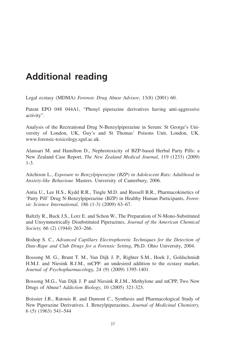# **Additional reading**

Legal ecstasy (MDMA) *Forensic Drug Abuse Advisor*, 13(8) (2001) 60.

Patent EPO 048 044A1, "Phenyl piperazine derivatives having anti-aggressive activity".

Analysis of the Recreational Drug N-Benzylpiperazine in Serum: St George's University of London, UK, Guy's and St Thomas' Poisons Unit, London, UK. www.forensic-toxicology.sgul.ac.uk.

Alansari M. and Hamilton D., Nephrotoxicity of BZP-based Herbal Party Pills: a New Zealand Case Report, *The New Zealand Medical Journal*, 119 (1233) (2009) 1-3.

Aitchison L., *Exposure to Benzylpiperazine (BZP) in Adolescent Rats: Adulthood in Anxiety-like Behaviour.* Masters. University of Canterbury, 2006.

Antia U., Lee H.S., Kydd R.R., Tingle M.D. and Russell B.R., Pharmacokinetics of 'Party Pill' Drug N-Benzylpiperazine (BZP) in Healthy Human Participants, *Forensic Science International,* 186 (1-3) (2009) 63–67.

Baltzly R., Buck J.S., Lorz E. and Schon W., The Preparation of N-Mono-Substituted and Unsymmetrically Disubstituted Piperazines, *Journal of the American Chemical Society,* 66 (2) (1944) 263–266.

Bishop S. C., *Advanced Capillary Electrophoretic Techniques for the Detection of Date-Rape and Club Drugs for a Forensic Setting*, Ph.D. Ohio University, 2004.

Bossong M. G., Brunt T. M., Van Dijk J. P., Righter S.M., Hoek J., Goldschmidt H.M.J. and Niesink R.J.M., mCPP: an undesired addition to the ecstasy market, *Journal of Psychopharmacol*ogy, 24 (9) (2009) 1395-1401.

Bossong M.G., Van Dijk J. P and Niesink R.J.M., Methylone and mCPP, Two New Drugs of Abuse? *Addiction Biology*, 10 (2005) 321-323.

Boissier J.R., Ratouis R. and Dumont C., Synthesis and Pharmacological Study of New Piperazine Derivatives. I. Benzylpiperazines, *Journal of Medicinal Chemistry,*  6 (5) (1963) 541–544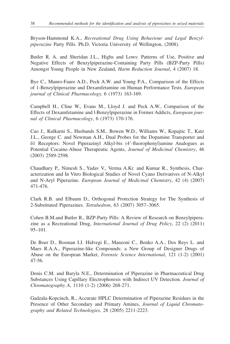Bryson-Hammond K.A., *Recreational Drug Using Behaviour and Legal Benzylpiperazine* Party Pills. Ph.D. Victoria University of Wellington, (2008).

Butler R. A. and Sheridan J.L., Highs and Lows: Patterns of Use, Positive and Negative Effects of Benzylpiperazine-Containing Party Pills (BZP-Party Pills) Amongst Young People in New Zealand, *Harm Reduction Journal*, 4 (2007) 18.

Bye C., Munro-Faure A.D., Peck A.W. and Young P.A., Comparison of the Effects of 1-Benzylpiperazine and Dexamfetamine on Human Performance Tests. *European journal of Clinical Pharmacology,* 6 (1973) 163-169.

Campbell H., Cline W., Evans M., Lloyd J. and Peck A.W., Comparison of the Effects of Dexamfetamine and l·Benzylpiperazine in Former Addicts, *European journal of Clinical Pharmacology*, 6 (1973) 170-176.

Cao J., Kulkarni S., Husbands S.M., Bowen W.D., Williams W., Kopajtic T., Katz J.L., George C. and Newman A.H., Dual Probes for the Dopamine Transporter and δ1 Receptors: Novel Piperazinyl Alkyl-bis (4'-fluorophenyl)amine Analogues as Potential Cocaine-Abuse Therapeutic Agents, *Journal of Medicinal Chemistry*, 46 (2003) 2589-2598.

Chaudhary P., Nimesh S., Yadav V., Verma A.Kr. and Kumar R., Synthesis, Characterization and In Vitro Biological Studies of Novel Cyano Derivatives of N-Alkyl and N-Aryl Piperazine. *European Journal of Medicinal Chemistry*, 42 (4) (2007) 471-476.

Clark R.B. and Elbaum D., Orthogonal Protection Strategy for The Synthesis of 2-Substituted Piperazines. *Tetrahedron*, 63 (2007) 3057–3065.

Cohen B.M.and Butler R., BZP-Party Pills: A Review of Research on Benzylpiperazine as a Recreational Drug, *International Journal of Drug Policy*, 22 (2) (2011) 95–101.

De Boer D., Bosman I.J. Hidvegi E., Manzoni C., Benko A.A., Dos Reys L. and Maes R.A.A., Piperazine-like Compounds: a New Group of Designer Drugs of Abuse on the European Market, *Forensic Science International*, 121 (1-2) (2001) 47-56.

Denis C.M. and Baryla N.E., Determination of Piperazine in Pharmaceutical Drug Substances Using Capillary Electrophoresis with Indirect UV Detection*. Journal of Chromatography A*, 1110 (1-2) (2006) 268-271.

Gadzala-Kopciuch, R., Accurate HPLC Determination of Piperazine Residues in the Presence of Other Secondary and Primary Amines, *Journal of Liquid Chromatography and Related Technologies*, 28 (2005) 2211-2223.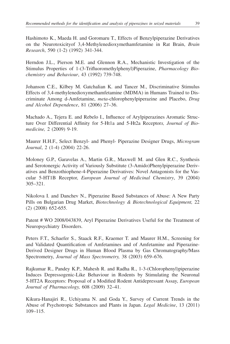Hashimoto K., Maeda H. and Goromaru T., Effects of Benzylpiperazine Derivatives on the Neurotoxicityof 3,4-Methylenedioxymethamfetamine in Rat Brain, *Brain Research*, 590 (1-2) (1992) 341-344.

Herndon J.L., Pierson M.E. and Glennon R.A., Mechanistic Investigation of the Stimulus Properties of 1-(3-Trifluoromethylphenyl)Piperazine, *Pharmacology Biochemistry and Behaviour*, 43 (1992) 739-748.

Johanson C.E., Kilbey M. Gatchalian K. and Tancer M., Discriminative Stimulus Effects of 3,4-methylenedioxymethamfetamine (MDMA) in Humans Trained to Discriminate Among d-Amfetamine, *meta*-chlorophenylpiperazine and Placebo, *Drug and Alcohol Dependence*, 81 (2006) 27–36.

Machado A., Tejera E. and Rebelo I., Influence of Arylpiperazines Aromatic Structure Over Differential Affinity for 5-Ht1a and 5-Ht2a Receptor*s, Journal of Biomedicine,* 2 (2009) 9-19.

Maurer H.H.F., Select Benzyl- and Phenyl- Piperazine Designer Drugs, *Microgram Journal*, 2 (1-4) (2004) 22-26.

Moloney G.P., Garavelas A., Martin G.R., Maxwell M. and Glen R.C., Synthesis and Serotonergic Activity of Variously Substitute (3-Amido)Phenylpiperazine Derivatives and Benzothiophene-4-Piperazine Derivatives: Novel Antagonists for the Vascular 5-HT1B Receptor, *European Journal of Medicinal Chemistry*, 39 (2004) 305–321.

Nikolova I. and Danchev N., Piperazine Based Substances of Abuse: A New Party Pills on Bulgarian Drug Market, *Biotechnology & Biotechnological Equipment,* 22 (2) (2008) 652-655.

Patent # WO 2008/043839, Aryl Piperazine Derivatives Useful for the Treatment of Neuropsychiatry Disorders.

Peters F.T., Schaefer S., Staack R.F., Kraemer T. and Maurer H.M., Screening for and Validated Quantification of Amfetamines and of Amfetamine and Piperazine-Derived Designer Drugs in Human Blood Plasma by Gas Chromatography/Mass Spectrometry, *Journal of Mass Spectrometry,* 38 (2003) 659–676.

Rajkumar R., Pandey K.P., Mahesh R. and Radha R., 1-3-(Chlorophenyl)piperazine Induces Depressogenic-Like Behaviour in Rodents by Stimulating the Neuronal 5-HT2A Receptors: Proposal of a Modified Rodent Antidepressant Assay, *European Journal of Pharmacology,* 608 (2009) 32–41.

Kikura-Hanajiri R., Uchiyama N. and Goda Y., Survey of Current Trends in the Abuse of Psychotropic Substances and Plants in Japan. *Legal Medicine*, 13 (2011) 109–115.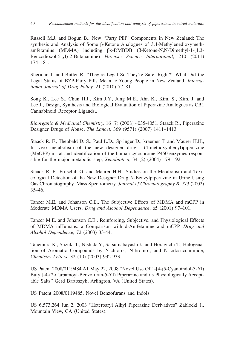Russell M.J. and Bogun B., New ''Party Pill'' Components in New Zealand: The synthesis and Analysis of Some β-Ketone Analogues of 3,4-Methylenedioxymethamfetamine (MDMA) including βk-DMBDB (β-Ketone-N,N-Dimethyl-1-(1,3- Benzodioxol-5-yl)-2-Butanamine) *Forensic Science International*, 210 (2011) 174–181.

Sheridan J. and Butler R. "They're Legal So They're Safe, Right?" What Did the Legal Status of BZP-Party Pills Mean to Young People in New Zealand, *International Journal of Drug Policy,* 21 (2010) 77–81.

Song K., Lee S., Chun H.J., Kim J.Y., Jung M.E., Ahn K., Kim, S., Kim, J. and Lee J., Design, Synthesis and Biological Evaluation of Piperazine Analogues as CB1 Cannabinoid Receptor Ligands.,

*Bioorganic & Medicinal Chemistry,* 16 (7) (2008) 4035-4051. Staack R., Piperazine Designer Drugs of Abuse, *The Lancet*, 369 (9571) (2007) 1411–1413.

Staack R. F., Theobald D. S., Paul L.D., Springer D., kraemer T. and Maurer H.H., In vivo metabolism of the new designer drug 1-(4-methoxyphenyl)piperazine (MeOPP) in rat and identification of the human cytochrome P450 enzymes responsible for the major metabolic step, *Xenobiotica*, 34 (2) (2004) 179–192.

Staack R. F., Fritschib G. and Maurer H.H., Studies on the Metabolism and Toxicological Detection of the New Designer Drug N-Benzylpiperazine in Urine Using Gas Chromatography–Mass Spectrometry. *Journal of Chromatography B*, 773 (2002) 35–46.

Tancer M.E. and Johanson C.E., The Subjective Effects of MDMA and mCPP in Moderate MDMA Users. *Drug and Alcohol Dependence*, 65 (2001) 97–101.

Tancer M.E. and Johanson C.E., Reinforcing, Subjective, and Physiological Effects of MDMA inHumans: a Comparison with d-Amfetamine and mCPP, *Drug and Alcohol Dependence*, 72 (2003) 33-44.

Tanemura K., Suzuki T., Nishida Y., Satsumabayashi k. and Horaguchi T., Halogenation of Aromatic Compounds by N-chloro-, N-bromo-, and N-iodosuccinimide, *Chemistry Letters*, 32 (10) (2003) 932-933.

US Patent 2008/0119484 A1 May 22, 2008 "Novel Use Of 1-[4-(5-Cyanoindol-3-Yl) Butyl]-4-(2-Carbamoyl-Benzofuran-5-Yl) Piperazine and its Physiologically Acceptable Salts" Gerd Bartoszyk; Arlington, VA (United States).

US Patent 2008/0119485, Novel Benzofurans and Indols.

US 6,573,264 Jun 2, 2003 "Heteroaryl Alkyl Piperazine Derivatives" Zablocki J., Mountain View, CA (United States).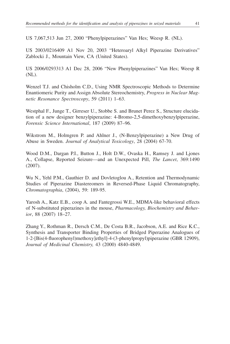US 7,067,513 Jun 27, 2000 "Phenylpiperazines" Van Hes; Weesp R. (NL).

US 2003/0216409 A1 Nov 20, 2003 "Heteroaryl Alkyl Piperazine Derivatives" Zablocki J., Mountain View, CA (United States).

US 2006/0293313 A1 Dec 28, 2006 "New Phenylpiperazines" Van Hes; Weesp R (NL).

Wenzel T.J. and Chisholm C.D., Using NMR Spectroscopic Methods to Determine Enantiomeric Purity and Assign Absolute Stereochemistry, *Progress in Nuclear Magnetic Resonance Spectroscopy*, 59 (2011) 1–63.

Westphal F., Junge T., Girreser U., Stobbe S. and Brunet Perez S., Structure elucidation of a new designer benzylpiperazine: 4-Bromo-2,5-dimethoxybenzylpiperazine, *Forensic Science International*, 187 (2009) 87–96.

Wikstrom M., Holmgren P. and Ahlner J., (N-Benzylpiperazine) a New Drug of Abuse in Sweden. *Journal of Analytical Toxicology*, 28 (2004) 67-70.

Wood D.M., Dargan P.I., Button J., Holt D.W., Ovaska H., Ramsey J. and Ljones A., Collapse, Reported Seizure—and an Unexpected Pill, *The Lancet*, 369:1490 (2007).

Wu N., Yehl P.M., Gauthier D. and Dovletoglou A., Retention and Thermodynamic Studies of Piperazine Diastereomers in Reversed-Phase Liquid Chromatography, *Chromatographia*, (2004), 59: 189-95.

Yarosh A., Katz E.B., coop A. and Fantegrossi W.E., MDMA-like behavioral effects of N-substituted piperazines in the mouse, *Pharmacology, Biochemistry and Behavior*, 88 (2007) 18–27.

Zhang Y., Rothman R., Dersch C.M., De Costa B.R., Jacobson, A.E. and Rice K.C., Synthesis and Transporter Binding Properties of Bridged Piperazine Analogues of 1-2-[Bis(4-fluorophenyl)methoxy]ethyl]-4-(3-phenylpropyl)piperazine (GBR 12909), *Journal of Medicinal Chemistry,* 43 (2000) 4840-4849.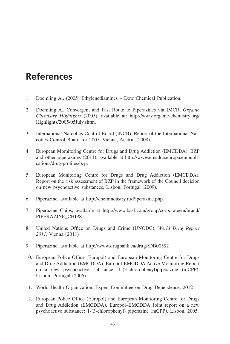# **References**

- 1. Doemling A., (2005) Ethylenediamines Dow Chemical Publication.
- 2. Doemling A., Convergent and Fast Route to Piperazines via IMCR, *Organic Chemistry Highlights* (2005), available at: http://www.organic-chemistry.org/ Highlights/2005/05July.shtm.
- 3. International Narcotics Control Board (INCB), Report of the International Narcotics Control Board for 2007, Vienna, Austria (2008).
- 4. European Momitoring Centre for Drugs and Drug Addiction (EMCDDA), BZP and other piperazines (2011), available at http://www.emcdda.europa.eu/publications/drug-profiles/bzp.
- 5. European Monitoring Centre for Drugs and Drug Addiction (EMCDDA), Report on the risk assessment of BZP in the framework of the Council decision on new psychoactive substances, Lisbon, Portugal (2009).
- 6. Piperazine, available at http://chemindustry.ru/Piperazine.php.
- 7. Piperazine Chips, available at http://www.basf.com/group/corporate/en/brand/ PIPERAZINE\_CHIPS
- 8. United Nations Office on Drugs and Crime (UNODC), *World Drug Report 2011*, Vienna (2011)
- 9. Piperazine, available at http://www.drugbank.ca/drugs/DB00592
- 10. European Police Office (Europol) and European Monitoring Centre for Drugs and Drug Addiction (EMCDDA), Europol-EMCDDA Active Monitoring Report on a new psychoactive substance: 1-(3-chlorophenyl)piperazine (mCPP), Lisbon, Portugal (2006).
- 11. World Health Organization, Expert Committee on Drug Dependence, 2012
- 12. European Police Office (Europol) and European Monitoring Centre for Drugs and Drug Addiction (EMCDDA), Europol–EMCDDA Joint report on a new psychoactive substance: 1-(3-chlorophenyl) piperazine (mCPP), Lisbon, 2005.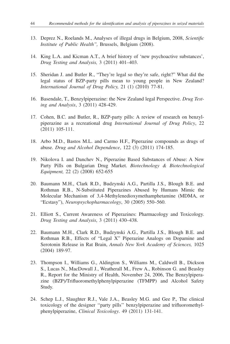- 13. Deprez N., Roelands M., Analyses of illegal drugs in Belgium, 2008, *Scientific Institute of Public Health",* Brussels, Belgium (2008).
- 14. King L.A. and Kicman A.T., A brief history of 'new psychoactive substances', *Drug Testing and Analysis,* 3 (2011) 401–403.
- 15. Sheridan J. and Butler R., "They're legal so they're safe, right?" What did the legal status of BZP-party pills mean to young people in New Zealand? *International Journal of Drug Policy,* 21 (1) (2010) 77-81.
- 16. Basendale, T., Benzylpiperazine: the New Zealand legal Perspective. *Drug Testing and Analysis*, 3 (2011) 428-429.
- 17. Cohen, B.C. and Butler, R., BZP-party pills: A review of research on benzylpiperazine as a recreational drug *International Journal of Drug Policy*, 22 (2011) 105-111.
- 18. Arbo M.D., Bastos M.L. and Carmo H.F., Piperazine compounds as drugs of abuse. *Drug and Alcohol Dependence*, 122 (3) (2011) 174-185.
- 19. Nikolova I. and Danchev N., Piperazine Based Substances of Abuse: A New Party Pills on Bulgarian Drug Market. *Biotechnology & Biotechnological Equipment,* 22 (2) (2008) 652-655
- 20. Baumann M.H., Clark R.D., Budzynski A.G., Partilla J.S., Blough B.E. and Rothman R.B., N-Substituted Piperazines Abused by Humans Mimic the Molecular Mechanism of 3,4-Methylenedioxymethamphetamine (MDMA, or "Ecstasy"), *Neuropsychopharmacology*, 30 (2005) 550–560.
- 21. Elliott S., Current Awareness of Piperazines: Pharmacology and Toxicology. *Drug Testing and Analysis*, 3 (2011) 430–438.
- 22. Baumann M.H., Clark R.D., Budzynski A.G., Partilla J.S., Blough B.E. and Rothman R.B., Effects of "Legal X" Piperazine Analogs on Dopamine and Serotonin Release in Rat Brain, *Annals New York Academy of Sciences,* 1025 (2004) 189-97.
- 23. Thompson I., Williams G., Aldington S., Williams M., Caldwell B., Dickson S., Lucas N., MacDowall J., Weatherall M., Frew A., Robinson G. and Beasley R., Report for the Ministry of Health, November 24, 2006, The Benzylpiperazine (BZP)/Trifluoromethylphenylpiperazine (TFMPP) and Alcohol Safety Study.
- 24. Schep L.J., Slaughter R.J., Vale J.A., Beasley M.G. and Gee P., The clinical toxicology of the designer ''party pills'' benzylpiperazine and trifluoromethylphenylpiperazine, *Clinical Toxicology*. 49 (2011) 131-141.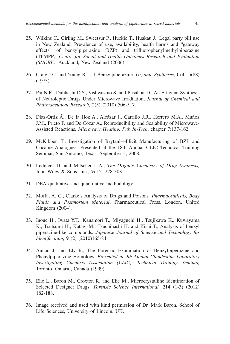- 25. Wilkins C., Girling M., Sweetsur P., Huckle T., Huakau J., Legal party pill use in New Zealand: Prevalence of use, availability, health harms and "gateway effects" of benzylpiperazine (BZP) and trifluorophenylmethylpiperazine (TFMPP*)*, *Centre for Social and Health Outcomes Research and Evaluation (SHORE)*, Auckland, New Zealand (2006).
- 26. Craig J.C. and Young R.J., 1-Benzylpiperazine. *Organic Syntheses*, Coll. 5(88) (1973).
- 27. Pai N.R., Dubhashi D.S., Vishwasrao S. and Pusalkar D., An Efficient Synthesis of Neuroleptic Drugs Under Microwave Irradiation, *Journal of Chemical and Pharmaceutical Research,* 2(5) (2010) 506-517.
- 28. Díaz-Ortiz Á., De la Hoz A., Alcázar J., Carrillo J.R., Herrero M.A., Muñoz J.M., Prieto P. and De Cózar A., Reproducibility and Scalability of Microwave-Assisted Reactions, *Microwave Heating, Pub In-Tech*, chapter 7:137-162.
- 29. McKibben T., Investigation of Brytanl—Illicit Manufacturing of BZP and Cocaine Analogues. Presented at the 18th Annual CLIC Technical Training Seminar, San Antonio, Texas, September 3, 2008.
- 30. Lednicer D. and Mitscher L.A., *The Organic Chemistry of Drug Synthesis,* John Wiley & Sons, Inc., Vol.2: 278-308.
- 31. DEA qualitative and quantitative methodology.
- 32. Moffat A. C., Clarke's Analysis of Drugs and Poisons*, Pharmaceuticals, Body Fluids and Postmortem Material*, Pharmaceutical Press, London, United Kingdom (2004).
- 33. Inoue H., Iwata Y.T., Kanamori T., Miyaguchi H., Tsujikawa K., Kuwayama K., Tsutsumi H., Katagi M., Tsuchihashi H. and Kishi T., Analysis of benzyl piperazine-like compounds. *Japanese Journal of Science and Technology for Identification*, 9 (2) (2010)165-84.
- 34. Aunan J. and Ely R., The Forensic Examination of Benzylpiperazine and Phenylpiperazine Homologs, *Presented at 9th Annual Clandestine Laboratory Investigating Chemists Association (CLIC), Technical Training Seminar,*  Toronto, Ontario, Canada (1999).
- 35. Elie L., Baron M., Croxton R. and Elie M., Microcrystalline Identification of Selected Designer Drugs. *Forensic Science International,* 214 (1-3) (2012) 182-188.
- 36. Image received and used with kind permission of Dr. Mark Baron, School of Life Sciences, University of Lincoln, UK.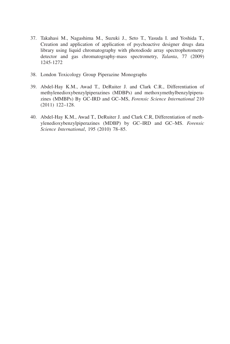- 37. Takahasi M., Nagashima M., Suzuki J., Seto T., Yasuda I. and Yoshida T., Creation and application of application of psychoactive designer drugs data library using liquid chromatography with photodiode array spectrophotometry detector and gas chromatography-mass spectrometry, *Talanta*, 77 (2009) 1245-1272
- 38. London Toxicology Group Piperazine Monographs
- 39. Abdel-Hay K.M., Awad T., DeRuiter J. and Clark C.R., Differentiation of methylenedioxybenzylpiperazines (MDBPs) and methoxymethylbenzylpiperazines (MMBPs) By GC-IRD and GC–MS, *Forensic Science International* 210 (2011) 122–128.
- 40. Abdel-Hay K.M., Awad T., DeRuiter J. and Clark C.R, Differentiation of methylenedioxybenzylpiperazines (MDBP) by GC–IRD and GC–MS. *Forensic Science International*, 195 (2010) 78–85.